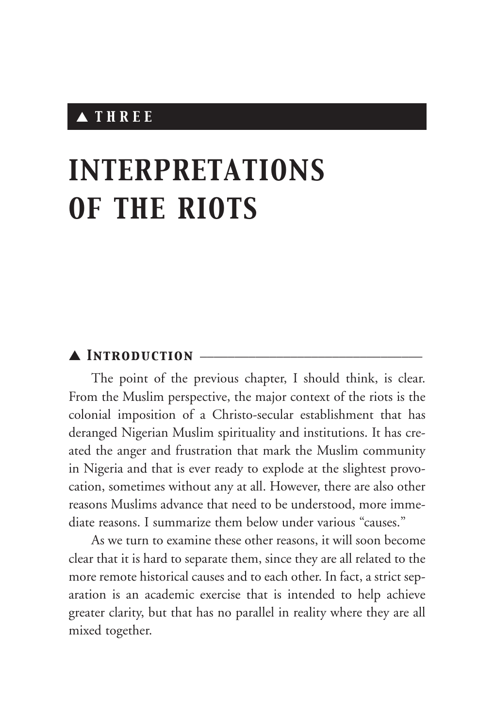# ▲ *THREE*

# *INTERPRETATIONS OF THE RIOTS*

#### ▲ *Introduction* \_\_\_\_\_\_\_\_\_\_\_\_\_\_\_\_\_\_\_\_\_\_\_\_\_\_\_\_\_\_\_\_

The point of the previous chapter, I should think, is clear. From the Muslim perspective, the major context of the riots is the colonial imposition of a Christo-secular establishment that has deranged Nigerian Muslim spirituality and institutions. It has created the anger and frustration that mark the Muslim community in Nigeria and that is ever ready to explode at the slightest provocation, sometimes without any at all. However, there are also other reasons Muslims advance that need to be understood, more immediate reasons. I summarize them below under various "causes."

As we turn to examine these other reasons, it will soon become clear that it is hard to separate them, since they are all related to the more remote historical causes and to each other. In fact, a strict separation is an academic exercise that is intended to help achieve greater clarity, but that has no parallel in reality where they are all mixed together.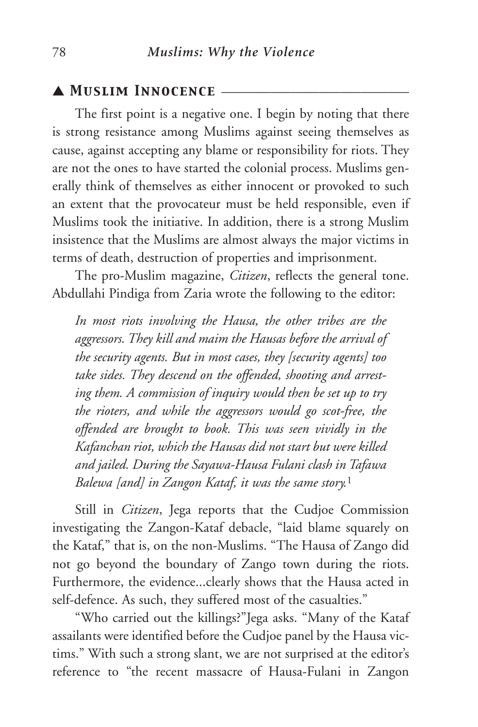### ▲ *Muslim Innocence* \_\_\_\_\_\_\_\_\_\_\_\_\_\_\_\_\_\_\_\_\_\_\_\_\_\_\_

The first point is a negative one. I begin by noting that there is strong resistance among Muslims against seeing themselves as cause, against accepting any blame or responsibility for riots. They are not the ones to have started the colonial process. Muslims generally think of themselves as either innocent or provoked to such an extent that the provocateur must be held responsible, even if Muslims took the initiative. In addition, there is a strong Muslim insistence that the Muslims are almost always the major victims in terms of death, destruction of properties and imprisonment.

The pro-Muslim magazine, *Citizen*, reflects the general tone. Abdullahi Pindiga from Zaria wrote the following to the editor:

*In most riots involving the Hausa, the other tribes are the aggressors. They kill and maim the Hausas before the arrival of the security agents. But in most cases, they [security agents] too take sides. They descend on the offended, shooting and arresting them. A commission of inquiry would then be set up to try the rioters, and while the aggressors would go scot-free, the offended are brought to book. This was seen vividly in the Kafanchan riot, which the Hausas did not start but were killed and jailed. During the Sayawa-Hausa Fulani clash in Tafawa Balewa [and] in Zangon Kataf, it was the same story.*<sup>1</sup>

Still in *Citizen*, Jega reports that the Cudjoe Commission investigating the Zangon-Kataf debacle, "laid blame squarely on the Kataf," that is, on the non-Muslims. "The Hausa of Zango did not go beyond the boundary of Zango town during the riots. Furthermore, the evidence...clearly shows that the Hausa acted in self-defence. As such, they suffered most of the casualties."

"Who carried out the killings?"Jega asks. "Many of the Kataf assailants were identified before the Cudjoe panel by the Hausa victims." With such a strong slant, we are not surprised at the editor's reference to "the recent massacre of Hausa-Fulani in Zangon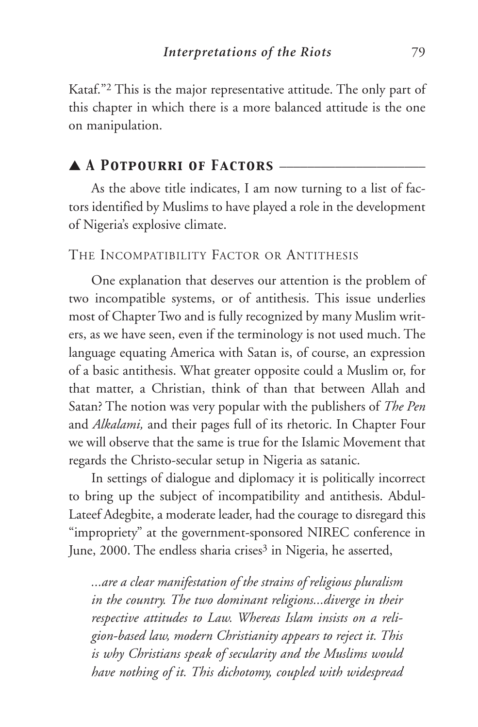Kataf."2 This is the major representative attitude. The only part of this chapter in which there is a more balanced attitude is the one on manipulation.

## ▲ *A Potpourri of Factors* \_\_\_\_\_\_\_\_\_\_\_\_\_\_\_\_\_\_\_\_\_

As the above title indicates, I am now turning to a list of factors identified by Muslims to have played a role in the development of Nigeria's explosive climate.

#### THE INCOMPATIBILITY FACTOR OR ANTITHESIS

One explanation that deserves our attention is the problem of two incompatible systems, or of antithesis. This issue underlies most of Chapter Two and is fully recognized by many Muslim writers, as we have seen, even if the terminology is not used much. The language equating America with Satan is, of course, an expression of a basic antithesis. What greater opposite could a Muslim or, for that matter, a Christian, think of than that between Allah and Satan? The notion was very popular with the publishers of *The Pen* and *Alkalami,* and their pages full of its rhetoric. In Chapter Four we will observe that the same is true for the Islamic Movement that regards the Christo-secular setup in Nigeria as satanic.

In settings of dialogue and diplomacy it is politically incorrect to bring up the subject of incompatibility and antithesis. Abdul-Lateef Adegbite, a moderate leader, had the courage to disregard this "impropriety" at the government-sponsored NIREC conference in June, 2000. The endless sharia crises<sup>3</sup> in Nigeria, he asserted,

*...are a clear manifestation of the strains of religious pluralism in the country. The two dominant religions...diverge in their respective attitudes to Law. Whereas Islam insists on a religion-based law, modern Christianity appears to reject it. This is why Christians speak of secularity and the Muslims would have nothing of it. This dichotomy, coupled with widespread*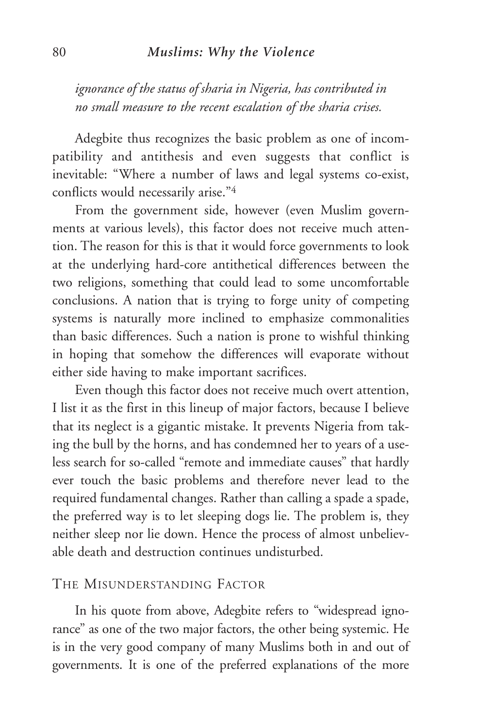#### 80 *Muslims: Why the Violence*

*ignorance of the status of sharia in Nigeria, has contributed in no small measure to the recent escalation of the sharia crises.* 

Adegbite thus recognizes the basic problem as one of incompatibility and antithesis and even suggests that conflict is inevitable: "Where a number of laws and legal systems co-exist, conflicts would necessarily arise."4

From the government side, however (even Muslim governments at various levels), this factor does not receive much attention. The reason for this is that it would force governments to look at the underlying hard-core antithetical differences between the two religions, something that could lead to some uncomfortable conclusions. A nation that is trying to forge unity of competing systems is naturally more inclined to emphasize commonalities than basic differences. Such a nation is prone to wishful thinking in hoping that somehow the differences will evaporate without either side having to make important sacrifices.

Even though this factor does not receive much overt attention, I list it as the first in this lineup of major factors, because I believe that its neglect is a gigantic mistake. It prevents Nigeria from taking the bull by the horns, and has condemned her to years of a useless search for so-called "remote and immediate causes" that hardly ever touch the basic problems and therefore never lead to the required fundamental changes. Rather than calling a spade a spade, the preferred way is to let sleeping dogs lie. The problem is, they neither sleep nor lie down. Hence the process of almost unbelievable death and destruction continues undisturbed.

#### THE MISUNDERSTANDING FACTOR

In his quote from above, Adegbite refers to "widespread ignorance" as one of the two major factors, the other being systemic. He is in the very good company of many Muslims both in and out of governments. It is one of the preferred explanations of the more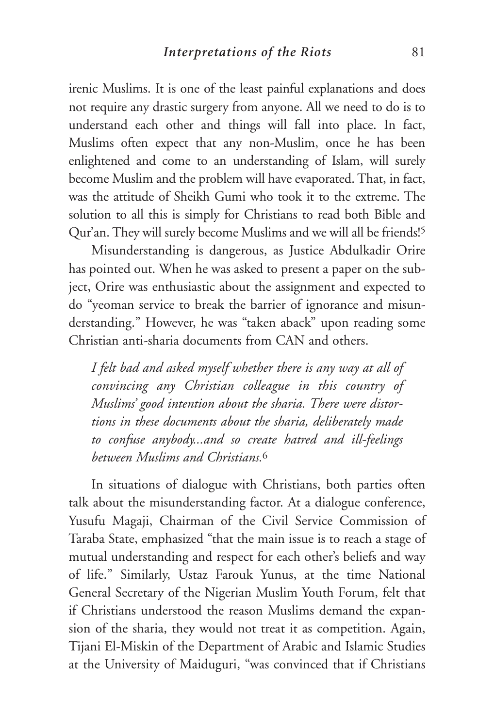irenic Muslims. It is one of the least painful explanations and does not require any drastic surgery from anyone. All we need to do is to understand each other and things will fall into place. In fact, Muslims often expect that any non-Muslim, once he has been enlightened and come to an understanding of Islam, will surely become Muslim and the problem will have evaporated. That, in fact, was the attitude of Sheikh Gumi who took it to the extreme. The solution to all this is simply for Christians to read both Bible and Qur'an. They will surely become Muslims and we will all be friends!5

Misunderstanding is dangerous, as Justice Abdulkadir Orire has pointed out. When he was asked to present a paper on the subject, Orire was enthusiastic about the assignment and expected to do "yeoman service to break the barrier of ignorance and misunderstanding." However, he was "taken aback" upon reading some Christian anti-sharia documents from CAN and others.

*I felt bad and asked myself whether there is any way at all of convincing any Christian colleague in this country of Muslims' good intention about the sharia. There were distortions in these documents about the sharia, deliberately made to confuse anybody...and so create hatred and ill-feelings between Muslims and Christians.*<sup>6</sup>

In situations of dialogue with Christians, both parties often talk about the misunderstanding factor. At a dialogue conference, Yusufu Magaji, Chairman of the Civil Service Commission of Taraba State, emphasized "that the main issue is to reach a stage of mutual understanding and respect for each other's beliefs and way of life." Similarly, Ustaz Farouk Yunus, at the time National General Secretary of the Nigerian Muslim Youth Forum, felt that if Christians understood the reason Muslims demand the expansion of the sharia, they would not treat it as competition. Again, Tijani El-Miskin of the Department of Arabic and Islamic Studies at the University of Maiduguri, "was convinced that if Christians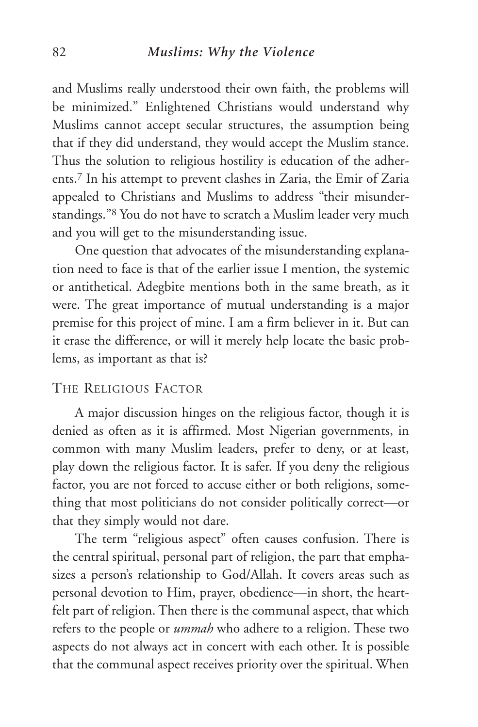#### 82 *Muslims: Why the Violence*

and Muslims really understood their own faith, the problems will be minimized." Enlightened Christians would understand why Muslims cannot accept secular structures, the assumption being that if they did understand, they would accept the Muslim stance. Thus the solution to religious hostility is education of the adherents.7 In his attempt to prevent clashes in Zaria, the Emir of Zaria appealed to Christians and Muslims to address "their misunderstandings."8 You do not have to scratch a Muslim leader very much and you will get to the misunderstanding issue.

One question that advocates of the misunderstanding explanation need to face is that of the earlier issue I mention, the systemic or antithetical. Adegbite mentions both in the same breath, as it were. The great importance of mutual understanding is a major premise for this project of mine. I am a firm believer in it. But can it erase the difference, or will it merely help locate the basic problems, as important as that is?

#### THE RELIGIOUS FACTOR

A major discussion hinges on the religious factor, though it is denied as often as it is affirmed. Most Nigerian governments, in common with many Muslim leaders, prefer to deny, or at least, play down the religious factor. It is safer. If you deny the religious factor, you are not forced to accuse either or both religions, something that most politicians do not consider politically correct—or that they simply would not dare.

The term "religious aspect" often causes confusion. There is the central spiritual, personal part of religion, the part that emphasizes a person's relationship to God/Allah. It covers areas such as personal devotion to Him, prayer, obedience—in short, the heartfelt part of religion. Then there is the communal aspect, that which refers to the people or *ummah* who adhere to a religion. These two aspects do not always act in concert with each other. It is possible that the communal aspect receives priority over the spiritual. When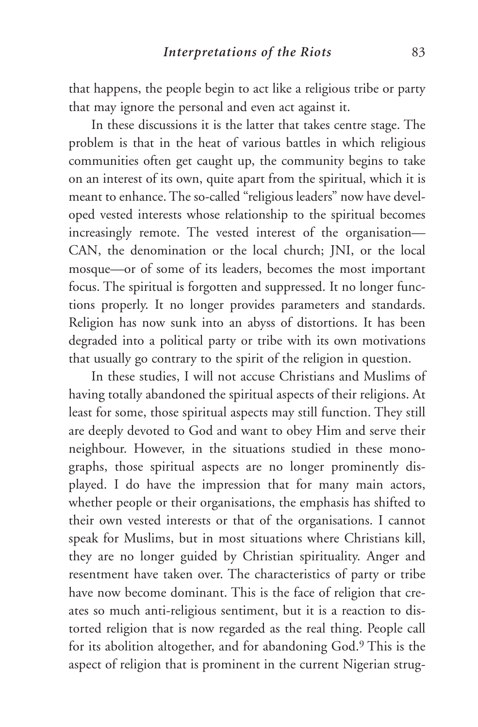that happens, the people begin to act like a religious tribe or party that may ignore the personal and even act against it.

In these discussions it is the latter that takes centre stage. The problem is that in the heat of various battles in which religious communities often get caught up, the community begins to take on an interest of its own, quite apart from the spiritual, which it is meant to enhance. The so-called "religious leaders" now have developed vested interests whose relationship to the spiritual becomes increasingly remote. The vested interest of the organisation— CAN, the denomination or the local church; JNI, or the local mosque—or of some of its leaders, becomes the most important focus. The spiritual is forgotten and suppressed. It no longer functions properly. It no longer provides parameters and standards. Religion has now sunk into an abyss of distortions. It has been degraded into a political party or tribe with its own motivations that usually go contrary to the spirit of the religion in question.

In these studies, I will not accuse Christians and Muslims of having totally abandoned the spiritual aspects of their religions. At least for some, those spiritual aspects may still function. They still are deeply devoted to God and want to obey Him and serve their neighbour. However, in the situations studied in these monographs, those spiritual aspects are no longer prominently displayed. I do have the impression that for many main actors, whether people or their organisations, the emphasis has shifted to their own vested interests or that of the organisations. I cannot speak for Muslims, but in most situations where Christians kill, they are no longer guided by Christian spirituality. Anger and resentment have taken over. The characteristics of party or tribe have now become dominant. This is the face of religion that creates so much anti-religious sentiment, but it is a reaction to distorted religion that is now regarded as the real thing. People call for its abolition altogether, and for abandoning God.9 This is the aspect of religion that is prominent in the current Nigerian strug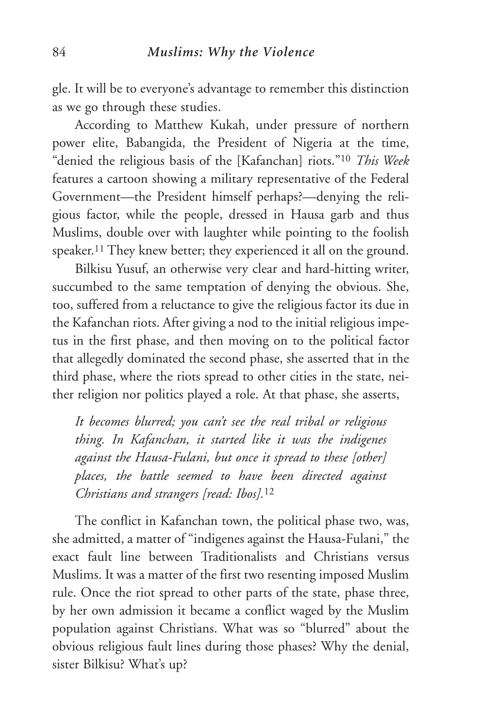gle. It will be to everyone's advantage to remember this distinction as we go through these studies.

According to Matthew Kukah, under pressure of northern power elite, Babangida, the President of Nigeria at the time, "denied the religious basis of the [Kafanchan] riots."10 *This Week* features a cartoon showing a military representative of the Federal Government—the President himself perhaps?—denying the religious factor, while the people, dressed in Hausa garb and thus Muslims, double over with laughter while pointing to the foolish speaker.11 They knew better; they experienced it all on the ground.

Bilkisu Yusuf, an otherwise very clear and hard-hitting writer, succumbed to the same temptation of denying the obvious. She, too, suffered from a reluctance to give the religious factor its due in the Kafanchan riots. After giving a nod to the initial religious impetus in the first phase, and then moving on to the political factor that allegedly dominated the second phase, she asserted that in the third phase, where the riots spread to other cities in the state, neither religion nor politics played a role. At that phase, she asserts,

*It becomes blurred; you can't see the real tribal or religious thing. In Kafanchan, it started like it was the indigenes against the Hausa-Fulani, but once it spread to these [other] places, the battle seemed to have been directed against Christians and strangers [read: Ibos].*<sup>12</sup>

The conflict in Kafanchan town, the political phase two, was, she admitted, a matter of "indigenes against the Hausa-Fulani," the exact fault line between Traditionalists and Christians versus Muslims. It was a matter of the first two resenting imposed Muslim rule. Once the riot spread to other parts of the state, phase three, by her own admission it became a conflict waged by the Muslim population against Christians. What was so "blurred" about the obvious religious fault lines during those phases? Why the denial, sister Bilkisu? What's up?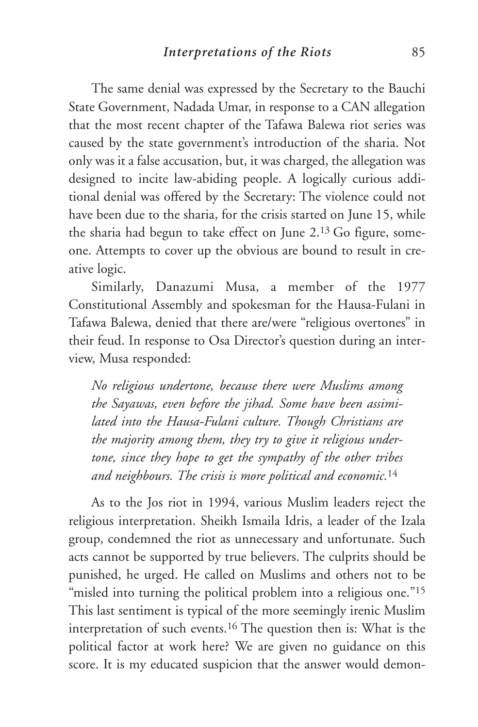The same denial was expressed by the Secretary to the Bauchi State Government, Nadada Umar, in response to a CAN allegation that the most recent chapter of the Tafawa Balewa riot series was caused by the state government's introduction of the sharia. Not only was it a false accusation, but, it was charged, the allegation was designed to incite law-abiding people. A logically curious additional denial was offered by the Secretary: The violence could not have been due to the sharia, for the crisis started on June 15, while the sharia had begun to take effect on June 2.13 Go figure, someone. Attempts to cover up the obvious are bound to result in creative logic.

Similarly, Danazumi Musa, a member of the 1977 Constitutional Assembly and spokesman for the Hausa-Fulani in Tafawa Balewa, denied that there are/were "religious overtones" in their feud. In response to Osa Director's question during an interview, Musa responded:

*No religious undertone, because there were Muslims among the Sayawas, even before the jihad. Some have been assimilated into the Hausa-Fulani culture. Though Christians are the majority among them, they try to give it religious undertone, since they hope to get the sympathy of the other tribes and neighbours. The crisis is more political and economic.*<sup>14</sup>

As to the Jos riot in 1994, various Muslim leaders reject the religious interpretation. Sheikh Ismaila Idris, a leader of the Izala group, condemned the riot as unnecessary and unfortunate. Such acts cannot be supported by true believers. The culprits should be punished, he urged. He called on Muslims and others not to be "misled into turning the political problem into a religious one."<sup>15</sup> This last sentiment is typical of the more seemingly irenic Muslim interpretation of such events.16 The question then is: What is the political factor at work here? We are given no guidance on this score. It is my educated suspicion that the answer would demon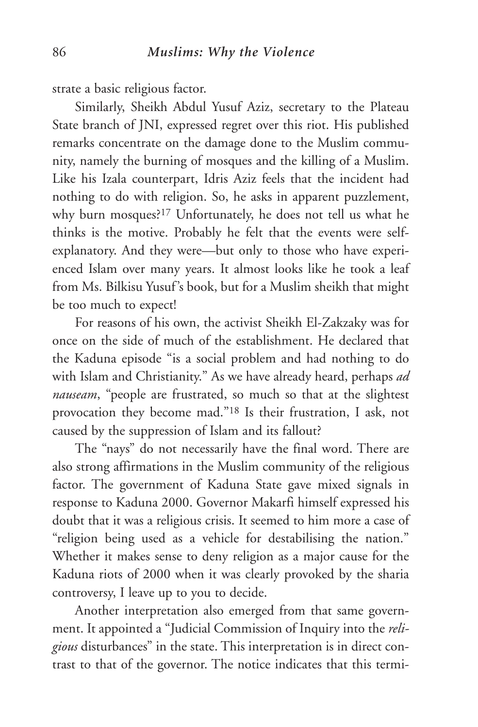strate a basic religious factor.

Similarly, Sheikh Abdul Yusuf Aziz, secretary to the Plateau State branch of JNI, expressed regret over this riot. His published remarks concentrate on the damage done to the Muslim community, namely the burning of mosques and the killing of a Muslim. Like his Izala counterpart, Idris Aziz feels that the incident had nothing to do with religion. So, he asks in apparent puzzlement, why burn mosques?17 Unfortunately, he does not tell us what he thinks is the motive. Probably he felt that the events were selfexplanatory. And they were—but only to those who have experienced Islam over many years. It almost looks like he took a leaf from Ms. Bilkisu Yusuf's book, but for a Muslim sheikh that might be too much to expect!

For reasons of his own, the activist Sheikh El-Zakzaky was for once on the side of much of the establishment. He declared that the Kaduna episode "is a social problem and had nothing to do with Islam and Christianity." As we have already heard, perhaps *ad nauseam*, "people are frustrated, so much so that at the slightest provocation they become mad."18 Is their frustration, I ask, not caused by the suppression of Islam and its fallout?

The "nays" do not necessarily have the final word. There are also strong affirmations in the Muslim community of the religious factor. The government of Kaduna State gave mixed signals in response to Kaduna 2000. Governor Makarfi himself expressed his doubt that it was a religious crisis. It seemed to him more a case of "religion being used as a vehicle for destabilising the nation." Whether it makes sense to deny religion as a major cause for the Kaduna riots of 2000 when it was clearly provoked by the sharia controversy, I leave up to you to decide.

Another interpretation also emerged from that same government. It appointed a "Judicial Commission of Inquiry into the *religious* disturbances" in the state. This interpretation is in direct contrast to that of the governor. The notice indicates that this termi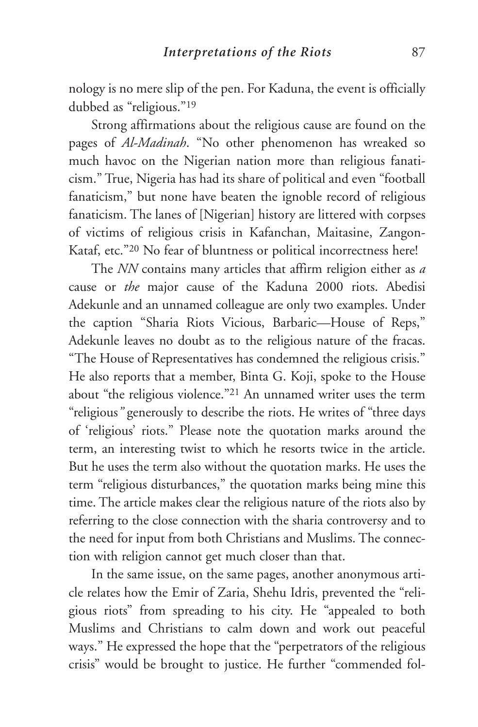nology is no mere slip of the pen. For Kaduna, the event is officially dubbed as "religious."19

Strong affirmations about the religious cause are found on the pages of *Al-Madinah*. "No other phenomenon has wreaked so much havoc on the Nigerian nation more than religious fanaticism." True, Nigeria has had its share of political and even "football fanaticism," but none have beaten the ignoble record of religious fanaticism. The lanes of [Nigerian] history are littered with corpses of victims of religious crisis in Kafanchan, Maitasine, Zangon-Kataf, etc."20 No fear of bluntness or political incorrectness here!

The *NN* contains many articles that affirm religion either as *a* cause or *the* major cause of the Kaduna 2000 riots. Abedisi Adekunle and an unnamed colleague are only two examples. Under the caption "Sharia Riots Vicious, Barbaric—House of Reps," Adekunle leaves no doubt as to the religious nature of the fracas. "The House of Representatives has condemned the religious crisis." He also reports that a member, Binta G. Koji, spoke to the House about "the religious violence."21 An unnamed writer uses the term "religious*"* generously to describe the riots. He writes of "three days of 'religious' riots." Please note the quotation marks around the term, an interesting twist to which he resorts twice in the article. But he uses the term also without the quotation marks. He uses the term "religious disturbances," the quotation marks being mine this time. The article makes clear the religious nature of the riots also by referring to the close connection with the sharia controversy and to the need for input from both Christians and Muslims. The connection with religion cannot get much closer than that.

In the same issue, on the same pages, another anonymous article relates how the Emir of Zaria, Shehu Idris, prevented the "religious riots" from spreading to his city. He "appealed to both Muslims and Christians to calm down and work out peaceful ways." He expressed the hope that the "perpetrators of the religious crisis" would be brought to justice. He further "commended fol-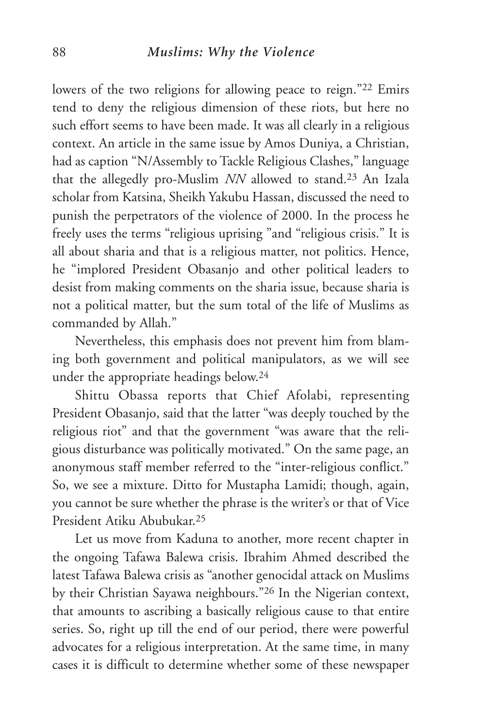#### 88 *Muslims: Why the Violence*

lowers of the two religions for allowing peace to reign."<sup>22</sup> Emirs tend to deny the religious dimension of these riots, but here no such effort seems to have been made. It was all clearly in a religious context. An article in the same issue by Amos Duniya, a Christian, had as caption "N/Assembly to Tackle Religious Clashes," language that the allegedly pro-Muslim *NN* allowed to stand.23 An Izala scholar from Katsina, Sheikh Yakubu Hassan, discussed the need to punish the perpetrators of the violence of 2000. In the process he freely uses the terms "religious uprising "and "religious crisis." It is all about sharia and that is a religious matter, not politics. Hence, he "implored President Obasanjo and other political leaders to desist from making comments on the sharia issue, because sharia is not a political matter, but the sum total of the life of Muslims as commanded by Allah."

Nevertheless, this emphasis does not prevent him from blaming both government and political manipulators, as we will see under the appropriate headings below.24

Shittu Obassa reports that Chief Afolabi, representing President Obasanjo, said that the latter "was deeply touched by the religious riot" and that the government "was aware that the religious disturbance was politically motivated." On the same page, an anonymous staff member referred to the "inter-religious conflict." So, we see a mixture. Ditto for Mustapha Lamidi; though, again, you cannot be sure whether the phrase is the writer's or that of Vice President Atiku Abubukar.25

Let us move from Kaduna to another, more recent chapter in the ongoing Tafawa Balewa crisis. Ibrahim Ahmed described the latest Tafawa Balewa crisis as "another genocidal attack on Muslims by their Christian Sayawa neighbours."26 In the Nigerian context, that amounts to ascribing a basically religious cause to that entire series. So, right up till the end of our period, there were powerful advocates for a religious interpretation. At the same time, in many cases it is difficult to determine whether some of these newspaper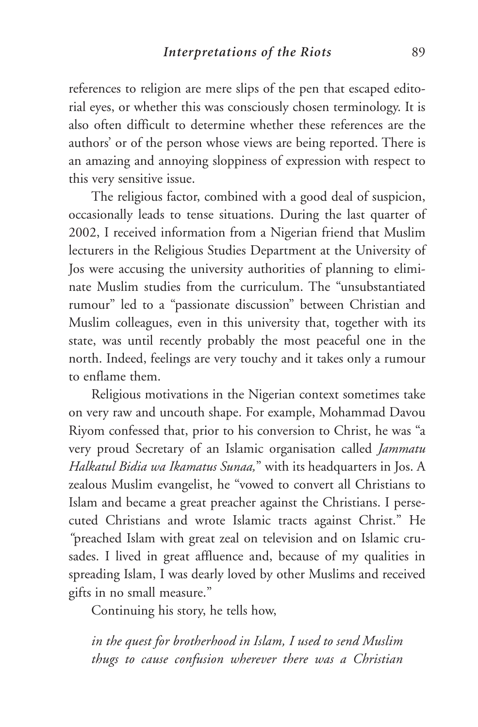references to religion are mere slips of the pen that escaped editorial eyes, or whether this was consciously chosen terminology. It is also often difficult to determine whether these references are the authors' or of the person whose views are being reported. There is an amazing and annoying sloppiness of expression with respect to this very sensitive issue.

The religious factor, combined with a good deal of suspicion, occasionally leads to tense situations. During the last quarter of 2002, I received information from a Nigerian friend that Muslim lecturers in the Religious Studies Department at the University of Jos were accusing the university authorities of planning to eliminate Muslim studies from the curriculum. The "unsubstantiated rumour" led to a "passionate discussion" between Christian and Muslim colleagues, even in this university that, together with its state, was until recently probably the most peaceful one in the north. Indeed, feelings are very touchy and it takes only a rumour to enflame them.

Religious motivations in the Nigerian context sometimes take on very raw and uncouth shape. For example, Mohammad Davou Riyom confessed that, prior to his conversion to Christ, he was "a very proud Secretary of an Islamic organisation called *Jammatu Halkatul Bidia wa Ikamatus Sunaa,*" with its headquarters in Jos. A zealous Muslim evangelist, he "vowed to convert all Christians to Islam and became a great preacher against the Christians. I persecuted Christians and wrote Islamic tracts against Christ." He *"*preached Islam with great zeal on television and on Islamic crusades. I lived in great affluence and, because of my qualities in spreading Islam, I was dearly loved by other Muslims and received gifts in no small measure."

Continuing his story, he tells how,

*in the quest for brotherhood in Islam, I used to send Muslim thugs to cause confusion wherever there was a Christian*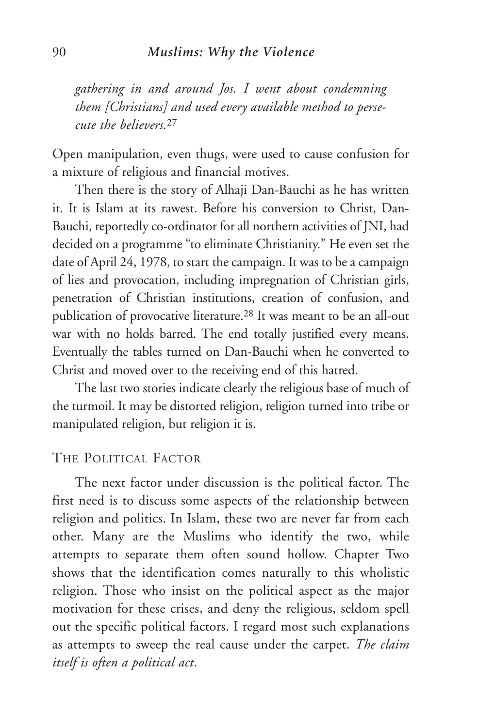*gathering in and around Jos. I went about condemning them [Christians] and used every available method to persecute the believers.*<sup>27</sup>

Open manipulation, even thugs, were used to cause confusion for a mixture of religious and financial motives.

Then there is the story of Alhaji Dan-Bauchi as he has written it. It is Islam at its rawest. Before his conversion to Christ, Dan-Bauchi, reportedly co-ordinator for all northern activities of JNI, had decided on a programme "to eliminate Christianity." He even set the date of April 24, 1978, to start the campaign. It was to be a campaign of lies and provocation, including impregnation of Christian girls, penetration of Christian institutions, creation of confusion, and publication of provocative literature.28 It was meant to be an all-out war with no holds barred. The end totally justified every means. Eventually the tables turned on Dan-Bauchi when he converted to Christ and moved over to the receiving end of this hatred.

The last two stories indicate clearly the religious base of much of the turmoil. It may be distorted religion, religion turned into tribe or manipulated religion, but religion it is.

#### THE POLITICAL FACTOR

The next factor under discussion is the political factor. The first need is to discuss some aspects of the relationship between religion and politics. In Islam, these two are never far from each other. Many are the Muslims who identify the two, while attempts to separate them often sound hollow. Chapter Two shows that the identification comes naturally to this wholistic religion. Those who insist on the political aspect as the major motivation for these crises, and deny the religious, seldom spell out the specific political factors. I regard most such explanations as attempts to sweep the real cause under the carpet. *The claim itself is often a political act*.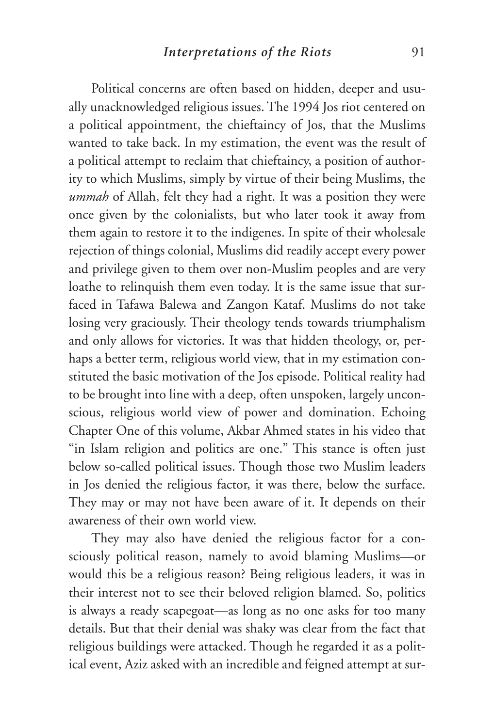Political concerns are often based on hidden, deeper and usually unacknowledged religious issues. The 1994 Jos riot centered on a political appointment, the chieftaincy of Jos, that the Muslims wanted to take back. In my estimation, the event was the result of a political attempt to reclaim that chieftaincy, a position of authority to which Muslims, simply by virtue of their being Muslims, the *ummah* of Allah, felt they had a right. It was a position they were once given by the colonialists, but who later took it away from them again to restore it to the indigenes. In spite of their wholesale rejection of things colonial, Muslims did readily accept every power and privilege given to them over non-Muslim peoples and are very loathe to relinquish them even today. It is the same issue that surfaced in Tafawa Balewa and Zangon Kataf. Muslims do not take losing very graciously. Their theology tends towards triumphalism and only allows for victories. It was that hidden theology, or, perhaps a better term, religious world view, that in my estimation constituted the basic motivation of the Jos episode. Political reality had to be brought into line with a deep, often unspoken, largely unconscious, religious world view of power and domination. Echoing Chapter One of this volume, Akbar Ahmed states in his video that "in Islam religion and politics are one." This stance is often just below so-called political issues. Though those two Muslim leaders in Jos denied the religious factor, it was there, below the surface. They may or may not have been aware of it. It depends on their awareness of their own world view.

They may also have denied the religious factor for a consciously political reason, namely to avoid blaming Muslims—or would this be a religious reason? Being religious leaders, it was in their interest not to see their beloved religion blamed. So, politics is always a ready scapegoat—as long as no one asks for too many details. But that their denial was shaky was clear from the fact that religious buildings were attacked. Though he regarded it as a political event, Aziz asked with an incredible and feigned attempt at sur-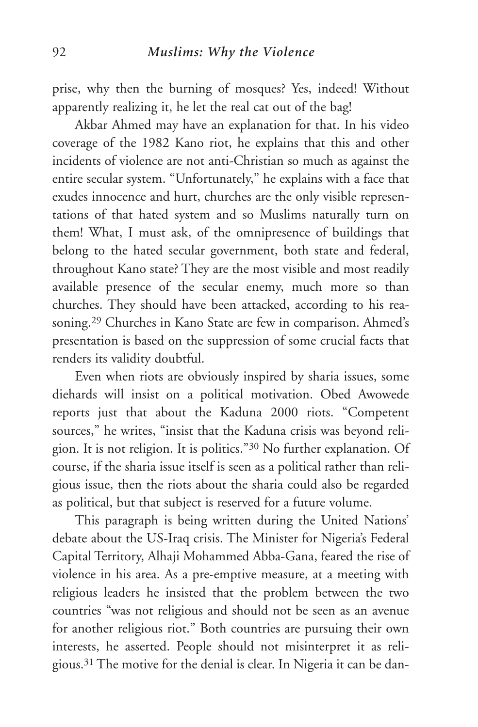prise, why then the burning of mosques? Yes, indeed! Without apparently realizing it, he let the real cat out of the bag!

Akbar Ahmed may have an explanation for that. In his video coverage of the 1982 Kano riot, he explains that this and other incidents of violence are not anti-Christian so much as against the entire secular system. "Unfortunately," he explains with a face that exudes innocence and hurt, churches are the only visible representations of that hated system and so Muslims naturally turn on them! What, I must ask, of the omnipresence of buildings that belong to the hated secular government, both state and federal, throughout Kano state? They are the most visible and most readily available presence of the secular enemy, much more so than churches. They should have been attacked, according to his reasoning.29 Churches in Kano State are few in comparison. Ahmed's presentation is based on the suppression of some crucial facts that renders its validity doubtful.

Even when riots are obviously inspired by sharia issues, some diehards will insist on a political motivation. Obed Awowede reports just that about the Kaduna 2000 riots. "Competent sources," he writes, "insist that the Kaduna crisis was beyond religion. It is not religion. It is politics."30 No further explanation. Of course, if the sharia issue itself is seen as a political rather than religious issue, then the riots about the sharia could also be regarded as political, but that subject is reserved for a future volume.

This paragraph is being written during the United Nations' debate about the US-Iraq crisis. The Minister for Nigeria's Federal Capital Territory, Alhaji Mohammed Abba-Gana, feared the rise of violence in his area. As a pre-emptive measure, at a meeting with religious leaders he insisted that the problem between the two countries "was not religious and should not be seen as an avenue for another religious riot." Both countries are pursuing their own interests, he asserted. People should not misinterpret it as religious.31 The motive for the denial is clear. In Nigeria it can be dan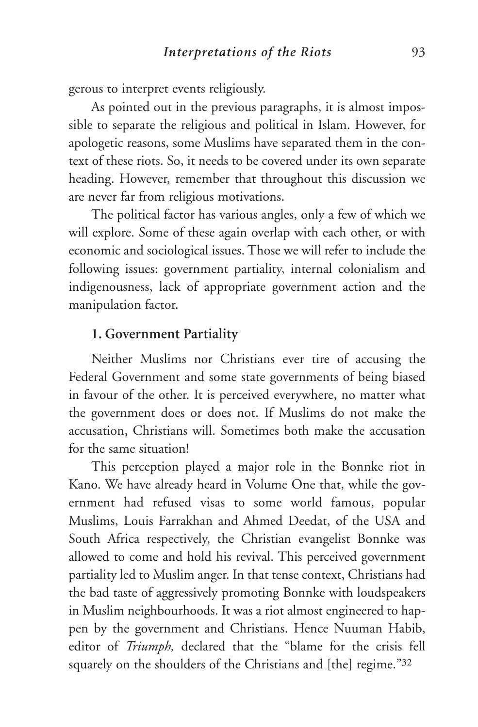gerous to interpret events religiously.

As pointed out in the previous paragraphs, it is almost impossible to separate the religious and political in Islam. However, for apologetic reasons, some Muslims have separated them in the context of these riots. So, it needs to be covered under its own separate heading. However, remember that throughout this discussion we are never far from religious motivations.

The political factor has various angles, only a few of which we will explore. Some of these again overlap with each other, or with economic and sociological issues. Those we will refer to include the following issues: government partiality, internal colonialism and indigenousness, lack of appropriate government action and the manipulation factor.

#### **1. Government Partiality**

Neither Muslims nor Christians ever tire of accusing the Federal Government and some state governments of being biased in favour of the other. It is perceived everywhere, no matter what the government does or does not. If Muslims do not make the accusation, Christians will. Sometimes both make the accusation for the same situation!

This perception played a major role in the Bonnke riot in Kano. We have already heard in Volume One that, while the government had refused visas to some world famous, popular Muslims, Louis Farrakhan and Ahmed Deedat, of the USA and South Africa respectively, the Christian evangelist Bonnke was allowed to come and hold his revival. This perceived government partiality led to Muslim anger. In that tense context, Christians had the bad taste of aggressively promoting Bonnke with loudspeakers in Muslim neighbourhoods. It was a riot almost engineered to happen by the government and Christians. Hence Nuuman Habib, editor of *Triumph,* declared that the "blame for the crisis fell squarely on the shoulders of the Christians and [the] regime."32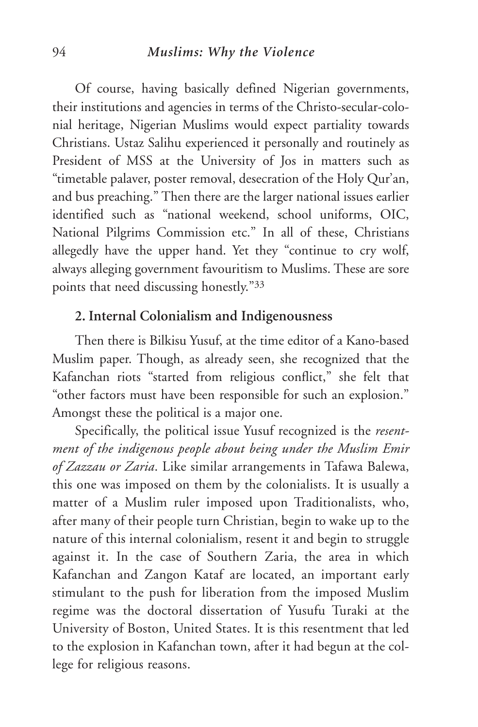#### 94 *Muslims: Why the Violence*

Of course, having basically defined Nigerian governments, their institutions and agencies in terms of the Christo-secular-colonial heritage, Nigerian Muslims would expect partiality towards Christians. Ustaz Salihu experienced it personally and routinely as President of MSS at the University of Jos in matters such as "timetable palaver, poster removal, desecration of the Holy Qur'an, and bus preaching." Then there are the larger national issues earlier identified such as "national weekend, school uniforms, OIC, National Pilgrims Commission etc." In all of these, Christians allegedly have the upper hand. Yet they "continue to cry wolf, always alleging government favouritism to Muslims. These are sore points that need discussing honestly."33

## **2. Internal Colonialism and Indigenousness**

Then there is Bilkisu Yusuf, at the time editor of a Kano-based Muslim paper. Though, as already seen, she recognized that the Kafanchan riots "started from religious conflict," she felt that "other factors must have been responsible for such an explosion." Amongst these the political is a major one.

Specifically, the political issue Yusuf recognized is the *resentment of the indigenous people about being under the Muslim Emir of Zazzau or Zaria*. Like similar arrangements in Tafawa Balewa, this one was imposed on them by the colonialists. It is usually a matter of a Muslim ruler imposed upon Traditionalists, who, after many of their people turn Christian, begin to wake up to the nature of this internal colonialism, resent it and begin to struggle against it. In the case of Southern Zaria, the area in which Kafanchan and Zangon Kataf are located, an important early stimulant to the push for liberation from the imposed Muslim regime was the doctoral dissertation of Yusufu Turaki at the University of Boston, United States. It is this resentment that led to the explosion in Kafanchan town, after it had begun at the college for religious reasons.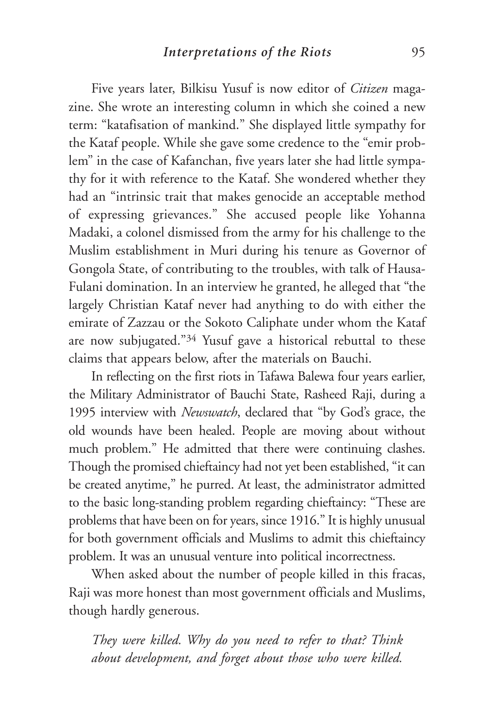Five years later, Bilkisu Yusuf is now editor of *Citizen* magazine. She wrote an interesting column in which she coined a new term: "katafisation of mankind." She displayed little sympathy for the Kataf people. While she gave some credence to the "emir problem" in the case of Kafanchan, five years later she had little sympathy for it with reference to the Kataf. She wondered whether they had an "intrinsic trait that makes genocide an acceptable method of expressing grievances." She accused people like Yohanna Madaki, a colonel dismissed from the army for his challenge to the Muslim establishment in Muri during his tenure as Governor of Gongola State, of contributing to the troubles, with talk of Hausa-Fulani domination. In an interview he granted, he alleged that "the largely Christian Kataf never had anything to do with either the emirate of Zazzau or the Sokoto Caliphate under whom the Kataf are now subjugated."34 Yusuf gave a historical rebuttal to these claims that appears below, after the materials on Bauchi.

In reflecting on the first riots in Tafawa Balewa four years earlier, the Military Administrator of Bauchi State, Rasheed Raji, during a 1995 interview with *Newswatch*, declared that "by God's grace, the old wounds have been healed. People are moving about without much problem." He admitted that there were continuing clashes. Though the promised chieftaincy had not yet been established, "it can be created anytime," he purred. At least, the administrator admitted to the basic long-standing problem regarding chieftaincy: "These are problems that have been on for years, since 1916." It is highly unusual for both government officials and Muslims to admit this chieftaincy problem. It was an unusual venture into political incorrectness.

When asked about the number of people killed in this fracas, Raji was more honest than most government officials and Muslims, though hardly generous.

*They were killed. Why do you need to refer to that? Think about development, and forget about those who were killed.*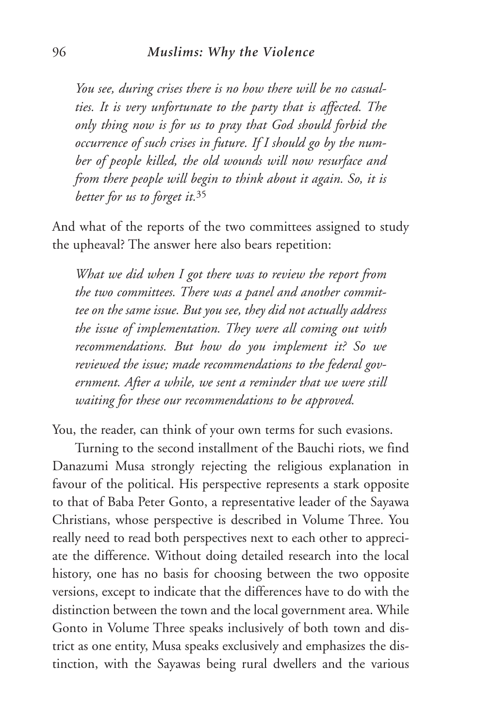*You see, during crises there is no how there will be no casualties. It is very unfortunate to the party that is affected. The only thing now is for us to pray that God should forbid the occurrence of such crises in future. If I should go by the number of people killed, the old wounds will now resurface and from there people will begin to think about it again. So, it is better for us to forget it.*<sup>35</sup>

And what of the reports of the two committees assigned to study the upheaval? The answer here also bears repetition:

*What we did when I got there was to review the report from the two committees. There was a panel and another committee on the same issue. But you see, they did not actually address the issue of implementation. They were all coming out with recommendations. But how do you implement it? So we reviewed the issue; made recommendations to the federal government. After a while, we sent a reminder that we were still waiting for these our recommendations to be approved.*

You, the reader, can think of your own terms for such evasions.

Turning to the second installment of the Bauchi riots, we find Danazumi Musa strongly rejecting the religious explanation in favour of the political. His perspective represents a stark opposite to that of Baba Peter Gonto, a representative leader of the Sayawa Christians, whose perspective is described in Volume Three. You really need to read both perspectives next to each other to appreciate the difference. Without doing detailed research into the local history, one has no basis for choosing between the two opposite versions, except to indicate that the differences have to do with the distinction between the town and the local government area. While Gonto in Volume Three speaks inclusively of both town and district as one entity, Musa speaks exclusively and emphasizes the distinction, with the Sayawas being rural dwellers and the various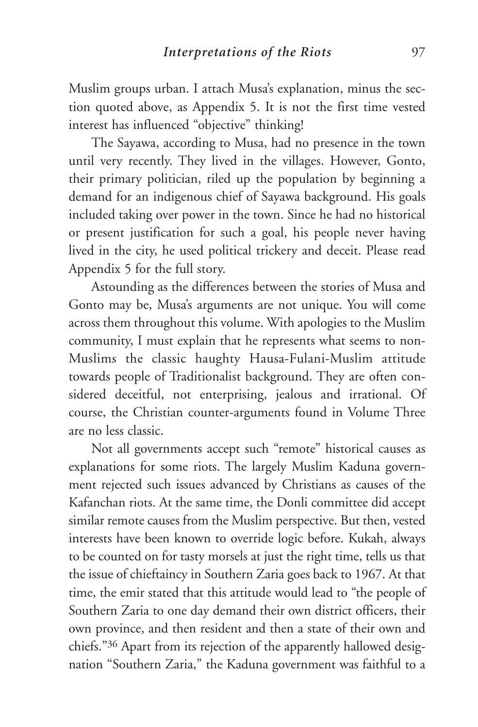Muslim groups urban. I attach Musa's explanation, minus the section quoted above, as Appendix 5. It is not the first time vested interest has influenced "objective" thinking!

The Sayawa, according to Musa, had no presence in the town until very recently. They lived in the villages. However, Gonto, their primary politician, riled up the population by beginning a demand for an indigenous chief of Sayawa background. His goals included taking over power in the town. Since he had no historical or present justification for such a goal, his people never having lived in the city, he used political trickery and deceit. Please read Appendix 5 for the full story.

Astounding as the differences between the stories of Musa and Gonto may be, Musa's arguments are not unique. You will come across them throughout this volume. With apologies to the Muslim community, I must explain that he represents what seems to non-Muslims the classic haughty Hausa-Fulani-Muslim attitude towards people of Traditionalist background. They are often considered deceitful, not enterprising, jealous and irrational. Of course, the Christian counter-arguments found in Volume Three are no less classic.

Not all governments accept such "remote" historical causes as explanations for some riots. The largely Muslim Kaduna government rejected such issues advanced by Christians as causes of the Kafanchan riots. At the same time, the Donli committee did accept similar remote causes from the Muslim perspective. But then, vested interests have been known to override logic before. Kukah, always to be counted on for tasty morsels at just the right time, tells us that the issue of chieftaincy in Southern Zaria goes back to 1967. At that time, the emir stated that this attitude would lead to "the people of Southern Zaria to one day demand their own district officers, their own province, and then resident and then a state of their own and chiefs."36 Apart from its rejection of the apparently hallowed designation "Southern Zaria," the Kaduna government was faithful to a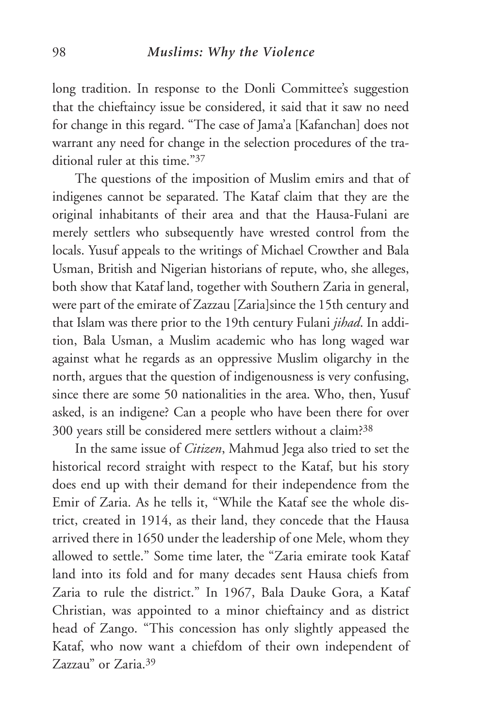long tradition. In response to the Donli Committee's suggestion that the chieftaincy issue be considered, it said that it saw no need for change in this regard. "The case of Jama'a [Kafanchan] does not warrant any need for change in the selection procedures of the traditional ruler at this time."37

The questions of the imposition of Muslim emirs and that of indigenes cannot be separated. The Kataf claim that they are the original inhabitants of their area and that the Hausa-Fulani are merely settlers who subsequently have wrested control from the locals. Yusuf appeals to the writings of Michael Crowther and Bala Usman, British and Nigerian historians of repute, who, she alleges, both show that Kataf land, together with Southern Zaria in general, were part of the emirate of Zazzau [Zaria]since the 15th century and that Islam was there prior to the 19th century Fulani *jihad*. In addition, Bala Usman, a Muslim academic who has long waged war against what he regards as an oppressive Muslim oligarchy in the north, argues that the question of indigenousness is very confusing, since there are some 50 nationalities in the area. Who, then, Yusuf asked, is an indigene? Can a people who have been there for over 300 years still be considered mere settlers without a claim?38

In the same issue of *Citizen*, Mahmud Jega also tried to set the historical record straight with respect to the Kataf, but his story does end up with their demand for their independence from the Emir of Zaria. As he tells it, "While the Kataf see the whole district, created in 1914, as their land, they concede that the Hausa arrived there in 1650 under the leadership of one Mele, whom they allowed to settle." Some time later, the "Zaria emirate took Kataf land into its fold and for many decades sent Hausa chiefs from Zaria to rule the district." In 1967, Bala Dauke Gora, a Kataf Christian, was appointed to a minor chieftaincy and as district head of Zango. "This concession has only slightly appeased the Kataf, who now want a chiefdom of their own independent of Zazzau" or Zaria.39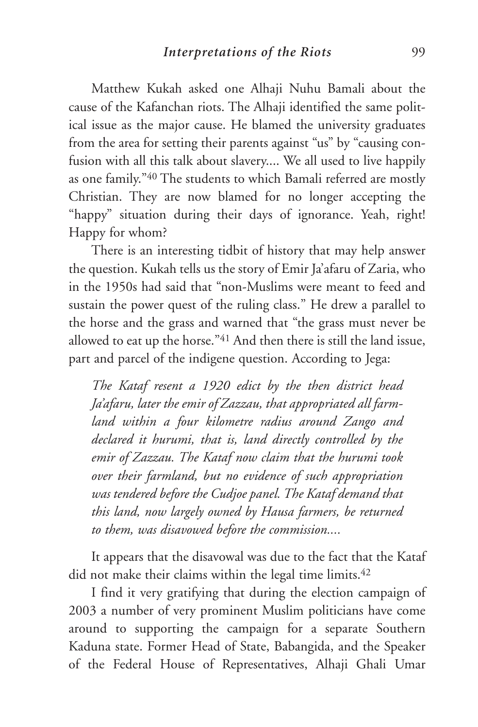Matthew Kukah asked one Alhaji Nuhu Bamali about the cause of the Kafanchan riots. The Alhaji identified the same political issue as the major cause. He blamed the university graduates from the area for setting their parents against "us" by "causing confusion with all this talk about slavery.... We all used to live happily as one family."40 The students to which Bamali referred are mostly Christian. They are now blamed for no longer accepting the "happy" situation during their days of ignorance. Yeah, right! Happy for whom?

There is an interesting tidbit of history that may help answer the question. Kukah tells us the story of Emir Ja'afaru of Zaria, who in the 1950s had said that "non-Muslims were meant to feed and sustain the power quest of the ruling class." He drew a parallel to the horse and the grass and warned that "the grass must never be allowed to eat up the horse."41 And then there is still the land issue, part and parcel of the indigene question. According to Jega:

*The Kataf resent a 1920 edict by the then district head Ja'afaru, later the emir of Zazzau, that appropriated all farmland within a four kilometre radius around Zango and declared it hurumi, that is, land directly controlled by the emir of Zazzau. The Kataf now claim that the hurumi took over their farmland, but no evidence of such appropriation was tendered before the Cudjoe panel. The Kataf demand that this land, now largely owned by Hausa farmers, be returned to them, was disavowed before the commission....*

It appears that the disavowal was due to the fact that the Kataf did not make their claims within the legal time limits.<sup>42</sup>

I find it very gratifying that during the election campaign of 2003 a number of very prominent Muslim politicians have come around to supporting the campaign for a separate Southern Kaduna state. Former Head of State, Babangida, and the Speaker of the Federal House of Representatives, Alhaji Ghali Umar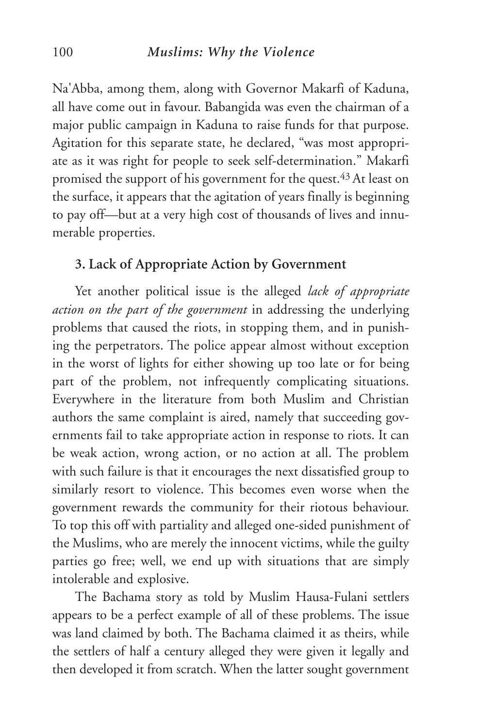#### 100 *Muslims: Why the Violence*

Na'Abba, among them, along with Governor Makarfi of Kaduna, all have come out in favour. Babangida was even the chairman of a major public campaign in Kaduna to raise funds for that purpose. Agitation for this separate state, he declared, "was most appropriate as it was right for people to seek self-determination." Makarfi promised the support of his government for the quest.43 At least on the surface, it appears that the agitation of years finally is beginning to pay off—but at a very high cost of thousands of lives and innumerable properties.

## **3. Lack of Appropriate Action by Government**

Yet another political issue is the alleged *lack of appropriate action on the part of the government* in addressing the underlying problems that caused the riots, in stopping them, and in punishing the perpetrators. The police appear almost without exception in the worst of lights for either showing up too late or for being part of the problem, not infrequently complicating situations. Everywhere in the literature from both Muslim and Christian authors the same complaint is aired, namely that succeeding governments fail to take appropriate action in response to riots. It can be weak action, wrong action, or no action at all. The problem with such failure is that it encourages the next dissatisfied group to similarly resort to violence. This becomes even worse when the government rewards the community for their riotous behaviour. To top this off with partiality and alleged one-sided punishment of the Muslims, who are merely the innocent victims, while the guilty parties go free; well, we end up with situations that are simply intolerable and explosive.

The Bachama story as told by Muslim Hausa-Fulani settlers appears to be a perfect example of all of these problems. The issue was land claimed by both. The Bachama claimed it as theirs, while the settlers of half a century alleged they were given it legally and then developed it from scratch. When the latter sought government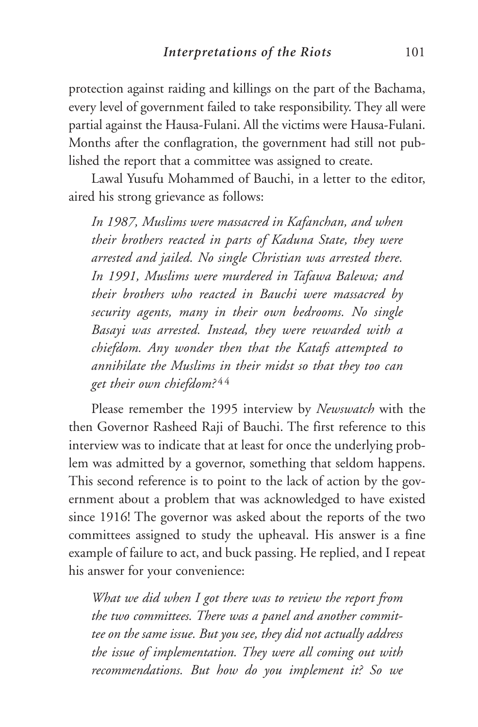protection against raiding and killings on the part of the Bachama, every level of government failed to take responsibility. They all were partial against the Hausa-Fulani. All the victims were Hausa-Fulani. Months after the conflagration, the government had still not published the report that a committee was assigned to create.

Lawal Yusufu Mohammed of Bauchi, in a letter to the editor, aired his strong grievance as follows:

*In 1987, Muslims were massacred in Kafanchan, and when their brothers reacted in parts of Kaduna State, they were arrested and jailed. No single Christian was arrested there. In 1991, Muslims were murdered in Tafawa Balewa; and their brothers who reacted in Bauchi were massacred by security agents, many in their own bedrooms. No single Basayi was arrested. Instead, they were rewarded with a chiefdom. Any wonder then that the Katafs attempted to annihilate the Muslims in their midst so that they too can get their own chiefdom?* 4 4

Please remember the 1995 interview by *Newswatch* with the then Governor Rasheed Raji of Bauchi. The first reference to this interview was to indicate that at least for once the underlying problem was admitted by a governor, something that seldom happens. This second reference is to point to the lack of action by the government about a problem that was acknowledged to have existed since 1916! The governor was asked about the reports of the two committees assigned to study the upheaval. His answer is a fine example of failure to act, and buck passing. He replied, and I repeat his answer for your convenience:

*What we did when I got there was to review the report from the two committees. There was a panel and another committee on the same issue. But you see, they did not actually address the issue of implementation. They were all coming out with recommendations. But how do you implement it? So we*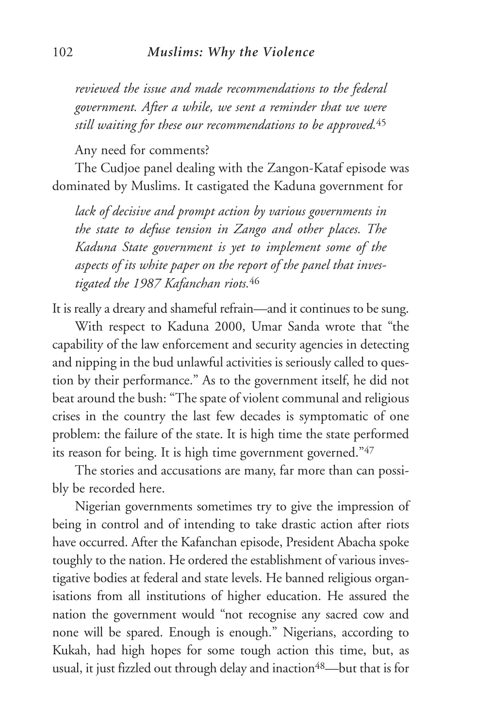*reviewed the issue and made recommendations to the federal government. After a while, we sent a reminder that we were still waiting for these our recommendations to be approved.*<sup>45</sup>

Any need for comments?

The Cudjoe panel dealing with the Zangon-Kataf episode was dominated by Muslims. It castigated the Kaduna government for

*lack of decisive and prompt action by various governments in the state to defuse tension in Zango and other places. The Kaduna State government is yet to implement some of the aspects of its white paper on the report of the panel that investigated the 1987 Kafanchan riots.*<sup>46</sup>

It is really a dreary and shameful refrain—and it continues to be sung.

With respect to Kaduna 2000, Umar Sanda wrote that "the capability of the law enforcement and security agencies in detecting and nipping in the bud unlawful activities is seriously called to question by their performance." As to the government itself, he did not beat around the bush: "The spate of violent communal and religious crises in the country the last few decades is symptomatic of one problem: the failure of the state. It is high time the state performed its reason for being. It is high time government governed."47

The stories and accusations are many, far more than can possibly be recorded here.

Nigerian governments sometimes try to give the impression of being in control and of intending to take drastic action after riots have occurred. After the Kafanchan episode, President Abacha spoke toughly to the nation. He ordered the establishment of various investigative bodies at federal and state levels. He banned religious organisations from all institutions of higher education. He assured the nation the government would "not recognise any sacred cow and none will be spared. Enough is enough." Nigerians, according to Kukah, had high hopes for some tough action this time, but, as usual, it just fizzled out through delay and inaction<sup>48</sup>—but that is for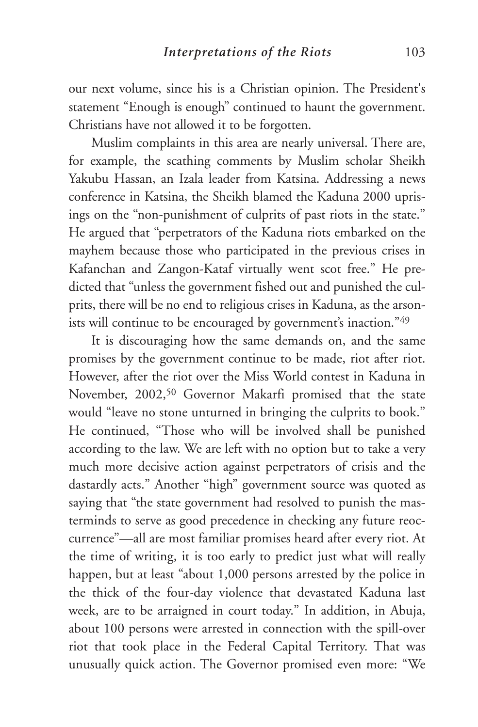our next volume, since his is a Christian opinion. The President's statement "Enough is enough" continued to haunt the government. Christians have not allowed it to be forgotten.

Muslim complaints in this area are nearly universal. There are, for example, the scathing comments by Muslim scholar Sheikh Yakubu Hassan, an Izala leader from Katsina. Addressing a news conference in Katsina, the Sheikh blamed the Kaduna 2000 uprisings on the "non-punishment of culprits of past riots in the state." He argued that "perpetrators of the Kaduna riots embarked on the mayhem because those who participated in the previous crises in Kafanchan and Zangon-Kataf virtually went scot free." He predicted that "unless the government fished out and punished the culprits, there will be no end to religious crises in Kaduna, as the arsonists will continue to be encouraged by government's inaction."49

It is discouraging how the same demands on, and the same promises by the government continue to be made, riot after riot. However, after the riot over the Miss World contest in Kaduna in November, 2002,50 Governor Makarfi promised that the state would "leave no stone unturned in bringing the culprits to book." He continued, "Those who will be involved shall be punished according to the law. We are left with no option but to take a very much more decisive action against perpetrators of crisis and the dastardly acts." Another "high" government source was quoted as saying that "the state government had resolved to punish the masterminds to serve as good precedence in checking any future reoccurrence"—all are most familiar promises heard after every riot. At the time of writing, it is too early to predict just what will really happen, but at least "about 1,000 persons arrested by the police in the thick of the four-day violence that devastated Kaduna last week, are to be arraigned in court today." In addition, in Abuja, about 100 persons were arrested in connection with the spill-over riot that took place in the Federal Capital Territory. That was unusually quick action. The Governor promised even more: "We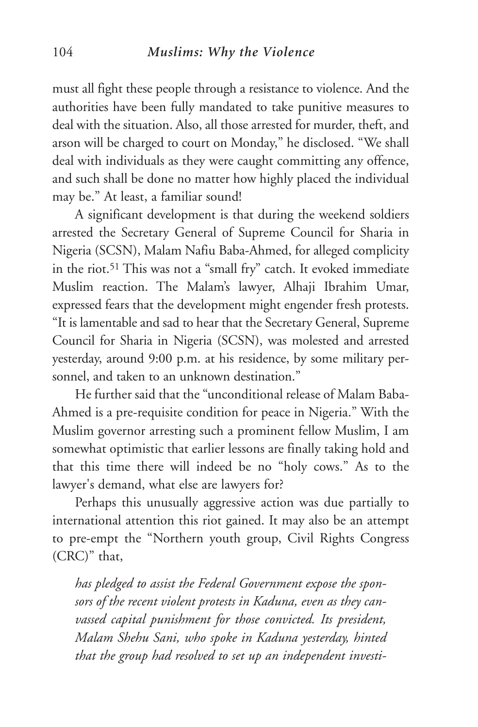must all fight these people through a resistance to violence. And the authorities have been fully mandated to take punitive measures to deal with the situation. Also, all those arrested for murder, theft, and arson will be charged to court on Monday," he disclosed. "We shall deal with individuals as they were caught committing any offence, and such shall be done no matter how highly placed the individual may be." At least, a familiar sound!

A significant development is that during the weekend soldiers arrested the Secretary General of Supreme Council for Sharia in Nigeria (SCSN), Malam Nafiu Baba-Ahmed, for alleged complicity in the riot.51 This was not a "small fry" catch. It evoked immediate Muslim reaction. The Malam's lawyer, Alhaji Ibrahim Umar, expressed fears that the development might engender fresh protests. "It is lamentable and sad to hear that the Secretary General, Supreme Council for Sharia in Nigeria (SCSN), was molested and arrested yesterday, around 9:00 p.m. at his residence, by some military personnel, and taken to an unknown destination."

He further said that the "unconditional release of Malam Baba-Ahmed is a pre-requisite condition for peace in Nigeria." With the Muslim governor arresting such a prominent fellow Muslim, I am somewhat optimistic that earlier lessons are finally taking hold and that this time there will indeed be no "holy cows." As to the lawyer's demand, what else are lawyers for?

Perhaps this unusually aggressive action was due partially to international attention this riot gained. It may also be an attempt to pre-empt the "Northern youth group, Civil Rights Congress (CRC)" that,

*has pledged to assist the Federal Government expose the sponsors of the recent violent protests in Kaduna, even as they canvassed capital punishment for those convicted. Its president, Malam Shehu Sani, who spoke in Kaduna yesterday, hinted that the group had resolved to set up an independent investi-*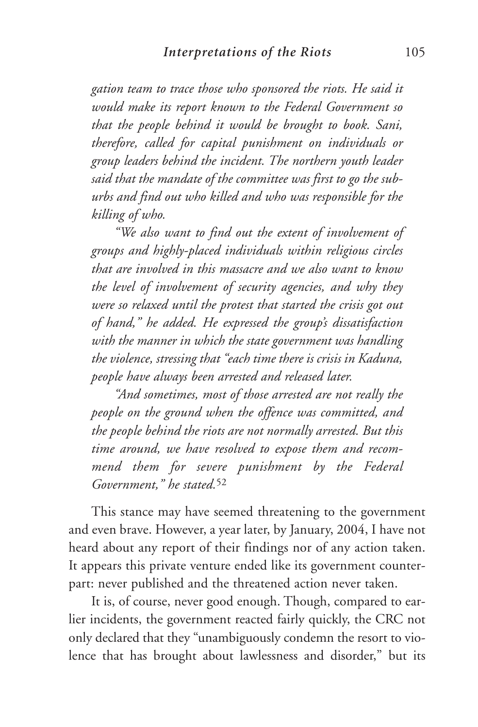*gation team to trace those who sponsored the riots. He said it would make its report known to the Federal Government so that the people behind it would be brought to book. Sani, therefore, called for capital punishment on individuals or group leaders behind the incident. The northern youth leader said that the mandate of the committee was first to go the suburbs and find out who killed and who was responsible for the killing of who.*

*"We also want to find out the extent of involvement of groups and highly-placed individuals within religious circles that are involved in this massacre and we also want to know the level of involvement of security agencies, and why they were so relaxed until the protest that started the crisis got out of hand," he added. He expressed the group's dissatisfaction with the manner in which the state government was handling the violence, stressing that "each time there is crisis in Kaduna, people have always been arrested and released later.* 

*"And sometimes, most of those arrested are not really the people on the ground when the offence was committed, and the people behind the riots are not normally arrested. But this time around, we have resolved to expose them and recommend them for severe punishment by the Federal Government," he stated.*<sup>52</sup>

This stance may have seemed threatening to the government and even brave. However, a year later, by January, 2004, I have not heard about any report of their findings nor of any action taken. It appears this private venture ended like its government counterpart: never published and the threatened action never taken.

It is, of course, never good enough. Though, compared to earlier incidents, the government reacted fairly quickly, the CRC not only declared that they "unambiguously condemn the resort to violence that has brought about lawlessness and disorder," but its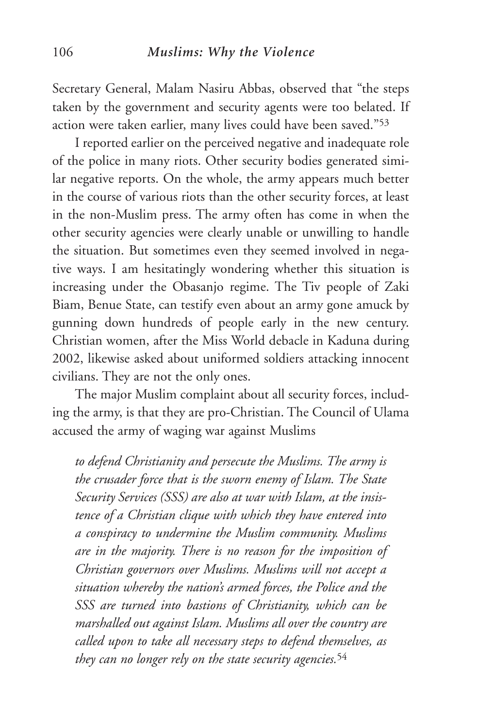Secretary General, Malam Nasiru Abbas, observed that "the steps taken by the government and security agents were too belated. If action were taken earlier, many lives could have been saved."53

I reported earlier on the perceived negative and inadequate role of the police in many riots. Other security bodies generated similar negative reports. On the whole, the army appears much better in the course of various riots than the other security forces, at least in the non-Muslim press. The army often has come in when the other security agencies were clearly unable or unwilling to handle the situation. But sometimes even they seemed involved in negative ways. I am hesitatingly wondering whether this situation is increasing under the Obasanjo regime. The Tiv people of Zaki Biam, Benue State, can testify even about an army gone amuck by gunning down hundreds of people early in the new century. Christian women, after the Miss World debacle in Kaduna during 2002, likewise asked about uniformed soldiers attacking innocent civilians. They are not the only ones.

The major Muslim complaint about all security forces, including the army, is that they are pro-Christian. The Council of Ulama accused the army of waging war against Muslims

*to defend Christianity and persecute the Muslims. The army is the crusader force that is the sworn enemy of Islam. The State Security Services (SSS) are also at war with Islam, at the insistence of a Christian clique with which they have entered into a conspiracy to undermine the Muslim community. Muslims are in the majority. There is no reason for the imposition of Christian governors over Muslims. Muslims will not accept a situation whereby the nation's armed forces, the Police and the SSS are turned into bastions of Christianity, which can be marshalled out against Islam. Muslims all over the country are called upon to take all necessary steps to defend themselves, as they can no longer rely on the state security agencies.*<sup>54</sup>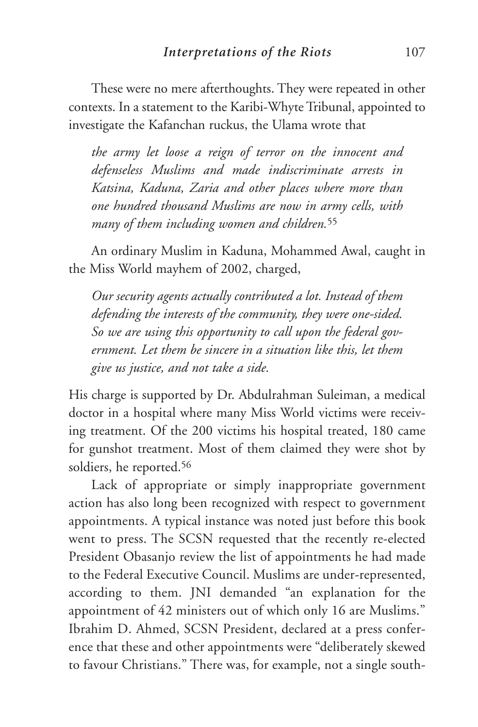These were no mere afterthoughts. They were repeated in other contexts. In a statement to the Karibi-Whyte Tribunal, appointed to investigate the Kafanchan ruckus, the Ulama wrote that

*the army let loose a reign of terror on the innocent and defenseless Muslims and made indiscriminate arrests in Katsina, Kaduna, Zaria and other places where more than one hundred thousand Muslims are now in army cells, with many of them including women and children.*<sup>55</sup>

An ordinary Muslim in Kaduna, Mohammed Awal, caught in the Miss World mayhem of 2002, charged,

*Our security agents actually contributed a lot. Instead of them defending the interests of the community, they were one-sided. So we are using this opportunity to call upon the federal government. Let them be sincere in a situation like this, let them give us justice, and not take a side.*

His charge is supported by Dr. Abdulrahman Suleiman, a medical doctor in a hospital where many Miss World victims were receiving treatment. Of the 200 victims his hospital treated, 180 came for gunshot treatment. Most of them claimed they were shot by soldiers, he reported.56

Lack of appropriate or simply inappropriate government action has also long been recognized with respect to government appointments. A typical instance was noted just before this book went to press. The SCSN requested that the recently re-elected President Obasanjo review the list of appointments he had made to the Federal Executive Council. Muslims are under-represented, according to them. JNI demanded "an explanation for the appointment of 42 ministers out of which only 16 are Muslims." Ibrahim D. Ahmed, SCSN President, declared at a press conference that these and other appointments were "deliberately skewed to favour Christians." There was, for example, not a single south-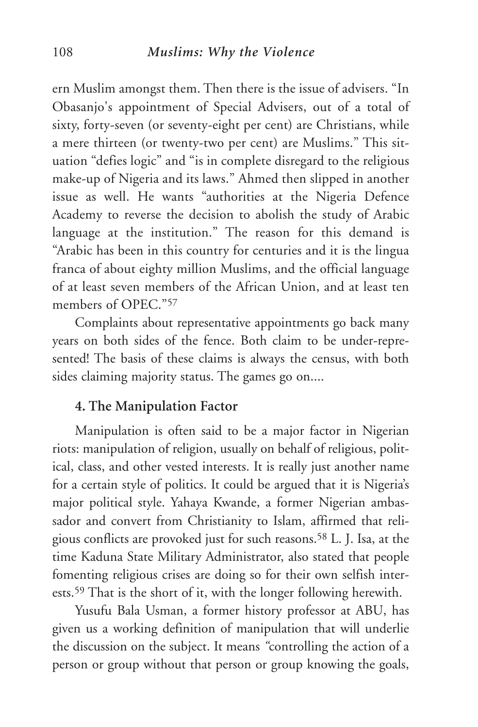#### 108 *Muslims: Why the Violence*

ern Muslim amongst them. Then there is the issue of advisers. "In Obasanjo's appointment of Special Advisers, out of a total of sixty, forty-seven (or seventy-eight per cent) are Christians, while a mere thirteen (or twenty-two per cent) are Muslims." This situation "defies logic" and "is in complete disregard to the religious make-up of Nigeria and its laws." Ahmed then slipped in another issue as well. He wants "authorities at the Nigeria Defence Academy to reverse the decision to abolish the study of Arabic language at the institution." The reason for this demand is "Arabic has been in this country for centuries and it is the lingua franca of about eighty million Muslims, and the official language of at least seven members of the African Union, and at least ten members of OPEC."57

Complaints about representative appointments go back many years on both sides of the fence. Both claim to be under-represented! The basis of these claims is always the census, with both sides claiming majority status. The games go on....

#### **4. The Manipulation Factor**

Manipulation is often said to be a major factor in Nigerian riots: manipulation of religion, usually on behalf of religious, political, class, and other vested interests. It is really just another name for a certain style of politics. It could be argued that it is Nigeria's major political style. Yahaya Kwande, a former Nigerian ambassador and convert from Christianity to Islam, affirmed that religious conflicts are provoked just for such reasons.58 L. J. Isa, at the time Kaduna State Military Administrator, also stated that people fomenting religious crises are doing so for their own selfish interests.59 That is the short of it, with the longer following herewith.

Yusufu Bala Usman, a former history professor at ABU, has given us a working definition of manipulation that will underlie the discussion on the subject. It means *"*controlling the action of a person or group without that person or group knowing the goals,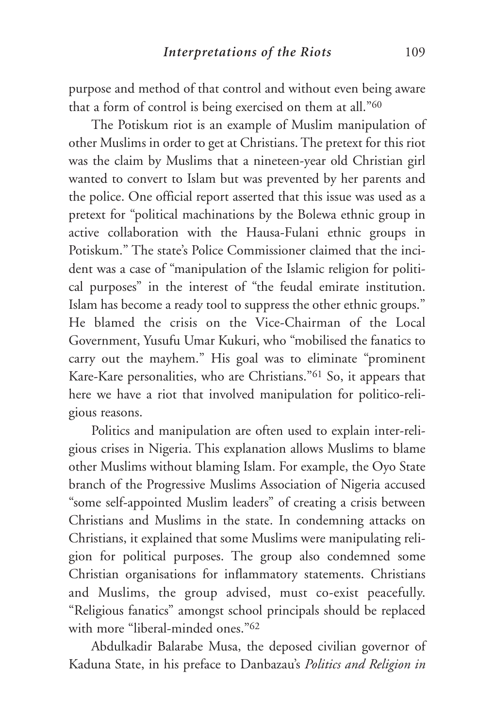purpose and method of that control and without even being aware that a form of control is being exercised on them at all."60

The Potiskum riot is an example of Muslim manipulation of other Muslims in order to get at Christians. The pretext for this riot was the claim by Muslims that a nineteen-year old Christian girl wanted to convert to Islam but was prevented by her parents and the police. One official report asserted that this issue was used as a pretext for "political machinations by the Bolewa ethnic group in active collaboration with the Hausa-Fulani ethnic groups in Potiskum." The state's Police Commissioner claimed that the incident was a case of "manipulation of the Islamic religion for political purposes" in the interest of "the feudal emirate institution. Islam has become a ready tool to suppress the other ethnic groups." He blamed the crisis on the Vice-Chairman of the Local Government, Yusufu Umar Kukuri, who "mobilised the fanatics to carry out the mayhem." His goal was to eliminate "prominent Kare-Kare personalities, who are Christians."61 So, it appears that here we have a riot that involved manipulation for politico-religious reasons.

Politics and manipulation are often used to explain inter-religious crises in Nigeria. This explanation allows Muslims to blame other Muslims without blaming Islam. For example, the Oyo State branch of the Progressive Muslims Association of Nigeria accused "some self-appointed Muslim leaders" of creating a crisis between Christians and Muslims in the state. In condemning attacks on Christians, it explained that some Muslims were manipulating religion for political purposes. The group also condemned some Christian organisations for inflammatory statements. Christians and Muslims, the group advised, must co-exist peacefully. "Religious fanatics" amongst school principals should be replaced with more "liberal-minded ones."<sup>62</sup>

Abdulkadir Balarabe Musa, the deposed civilian governor of Kaduna State, in his preface to Danbazau's *Politics and Religion in*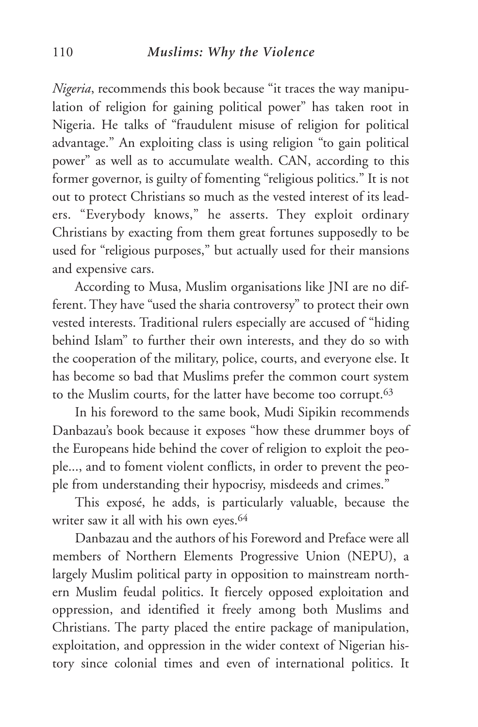*Nigeria*, recommends this book because "it traces the way manipulation of religion for gaining political power" has taken root in Nigeria. He talks of "fraudulent misuse of religion for political advantage." An exploiting class is using religion "to gain political power" as well as to accumulate wealth. CAN, according to this former governor, is guilty of fomenting "religious politics." It is not out to protect Christians so much as the vested interest of its leaders. "Everybody knows," he asserts. They exploit ordinary Christians by exacting from them great fortunes supposedly to be used for "religious purposes," but actually used for their mansions and expensive cars.

According to Musa, Muslim organisations like JNI are no different. They have "used the sharia controversy" to protect their own vested interests. Traditional rulers especially are accused of "hiding behind Islam" to further their own interests, and they do so with the cooperation of the military, police, courts, and everyone else. It has become so bad that Muslims prefer the common court system to the Muslim courts, for the latter have become too corrupt.63

In his foreword to the same book, Mudi Sipikin recommends Danbazau's book because it exposes "how these drummer boys of the Europeans hide behind the cover of religion to exploit the people..., and to foment violent conflicts, in order to prevent the people from understanding their hypocrisy, misdeeds and crimes."

This exposé, he adds, is particularly valuable, because the writer saw it all with his own eyes.<sup>64</sup>

Danbazau and the authors of his Foreword and Preface were all members of Northern Elements Progressive Union (NEPU), a largely Muslim political party in opposition to mainstream northern Muslim feudal politics. It fiercely opposed exploitation and oppression, and identified it freely among both Muslims and Christians. The party placed the entire package of manipulation, exploitation, and oppression in the wider context of Nigerian history since colonial times and even of international politics. It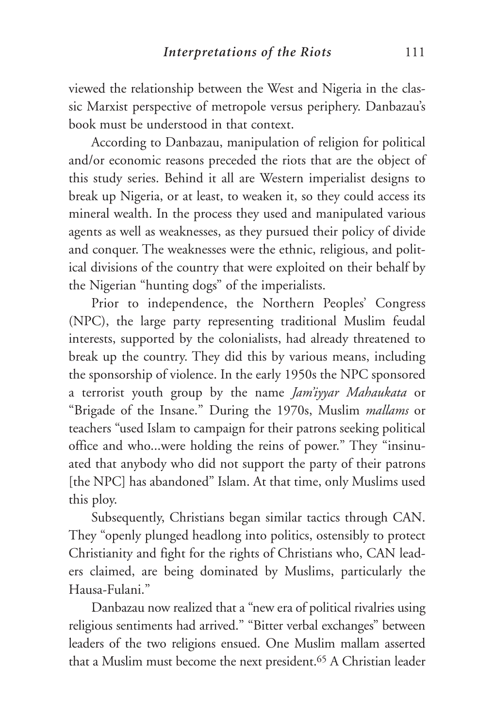viewed the relationship between the West and Nigeria in the classic Marxist perspective of metropole versus periphery. Danbazau's book must be understood in that context.

According to Danbazau, manipulation of religion for political and/or economic reasons preceded the riots that are the object of this study series. Behind it all are Western imperialist designs to break up Nigeria, or at least, to weaken it, so they could access its mineral wealth. In the process they used and manipulated various agents as well as weaknesses, as they pursued their policy of divide and conquer. The weaknesses were the ethnic, religious, and political divisions of the country that were exploited on their behalf by the Nigerian "hunting dogs" of the imperialists.

Prior to independence, the Northern Peoples' Congress (NPC), the large party representing traditional Muslim feudal interests, supported by the colonialists, had already threatened to break up the country. They did this by various means, including the sponsorship of violence. In the early 1950s the NPC sponsored a terrorist youth group by the name *Jam'iyyar Mahaukata* or "Brigade of the Insane." During the 1970s, Muslim *mallams* or teachers "used Islam to campaign for their patrons seeking political office and who...were holding the reins of power." They "insinuated that anybody who did not support the party of their patrons [the NPC] has abandoned" Islam. At that time, only Muslims used this ploy.

Subsequently, Christians began similar tactics through CAN. They "openly plunged headlong into politics, ostensibly to protect Christianity and fight for the rights of Christians who, CAN leaders claimed, are being dominated by Muslims, particularly the Hausa-Fulani."

Danbazau now realized that a "new era of political rivalries using religious sentiments had arrived." "Bitter verbal exchanges" between leaders of the two religions ensued. One Muslim mallam asserted that a Muslim must become the next president.65 A Christian leader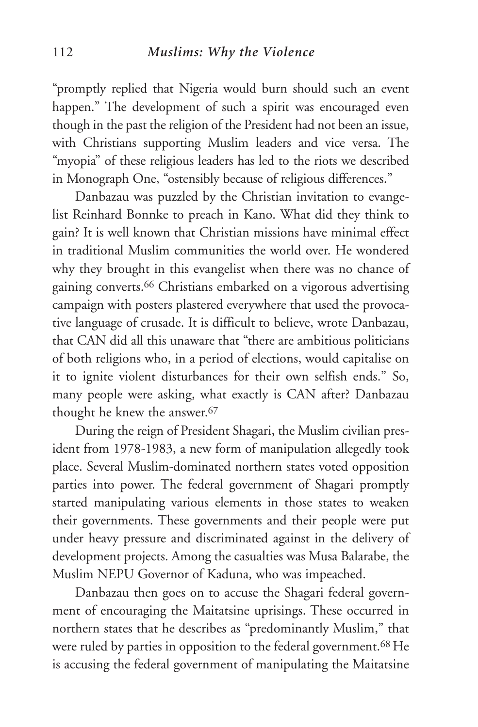"promptly replied that Nigeria would burn should such an event happen." The development of such a spirit was encouraged even though in the past the religion of the President had not been an issue, with Christians supporting Muslim leaders and vice versa. The "myopia" of these religious leaders has led to the riots we described in Monograph One, "ostensibly because of religious differences."

Danbazau was puzzled by the Christian invitation to evangelist Reinhard Bonnke to preach in Kano. What did they think to gain? It is well known that Christian missions have minimal effect in traditional Muslim communities the world over. He wondered why they brought in this evangelist when there was no chance of gaining converts.66 Christians embarked on a vigorous advertising campaign with posters plastered everywhere that used the provocative language of crusade. It is difficult to believe, wrote Danbazau, that CAN did all this unaware that "there are ambitious politicians of both religions who, in a period of elections, would capitalise on it to ignite violent disturbances for their own selfish ends." So, many people were asking, what exactly is CAN after? Danbazau thought he knew the answer.67

During the reign of President Shagari, the Muslim civilian president from 1978-1983, a new form of manipulation allegedly took place. Several Muslim-dominated northern states voted opposition parties into power. The federal government of Shagari promptly started manipulating various elements in those states to weaken their governments. These governments and their people were put under heavy pressure and discriminated against in the delivery of development projects. Among the casualties was Musa Balarabe, the Muslim NEPU Governor of Kaduna, who was impeached.

Danbazau then goes on to accuse the Shagari federal government of encouraging the Maitatsine uprisings. These occurred in northern states that he describes as "predominantly Muslim," that were ruled by parties in opposition to the federal government.68 He is accusing the federal government of manipulating the Maitatsine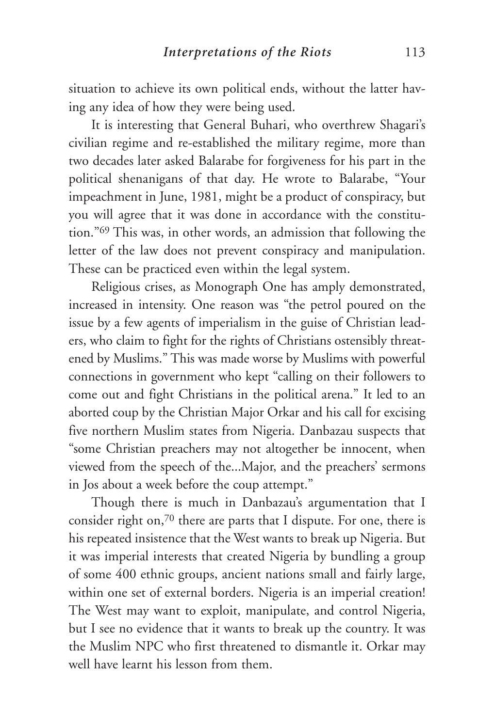situation to achieve its own political ends, without the latter having any idea of how they were being used.

It is interesting that General Buhari, who overthrew Shagari's civilian regime and re-established the military regime, more than two decades later asked Balarabe for forgiveness for his part in the political shenanigans of that day. He wrote to Balarabe, "Your impeachment in June, 1981, might be a product of conspiracy, but you will agree that it was done in accordance with the constitution."69 This was, in other words, an admission that following the letter of the law does not prevent conspiracy and manipulation. These can be practiced even within the legal system.

Religious crises, as Monograph One has amply demonstrated, increased in intensity. One reason was "the petrol poured on the issue by a few agents of imperialism in the guise of Christian leaders, who claim to fight for the rights of Christians ostensibly threatened by Muslims." This was made worse by Muslims with powerful connections in government who kept "calling on their followers to come out and fight Christians in the political arena." It led to an aborted coup by the Christian Major Orkar and his call for excising five northern Muslim states from Nigeria. Danbazau suspects that "some Christian preachers may not altogether be innocent, when viewed from the speech of the...Major, and the preachers' sermons in Jos about a week before the coup attempt."

Though there is much in Danbazau's argumentation that I consider right on,70 there are parts that I dispute. For one, there is his repeated insistence that the West wants to break up Nigeria. But it was imperial interests that created Nigeria by bundling a group of some 400 ethnic groups, ancient nations small and fairly large, within one set of external borders. Nigeria is an imperial creation! The West may want to exploit, manipulate, and control Nigeria, but I see no evidence that it wants to break up the country. It was the Muslim NPC who first threatened to dismantle it. Orkar may well have learnt his lesson from them.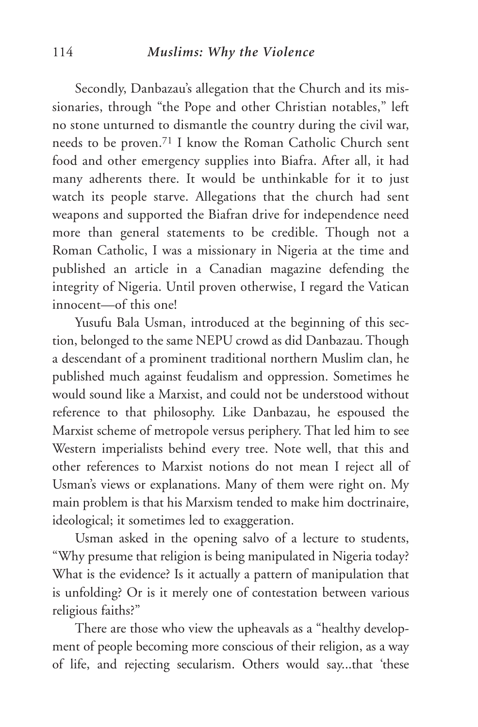Secondly, Danbazau's allegation that the Church and its missionaries, through "the Pope and other Christian notables," left no stone unturned to dismantle the country during the civil war, needs to be proven.71 I know the Roman Catholic Church sent food and other emergency supplies into Biafra. After all, it had many adherents there. It would be unthinkable for it to just watch its people starve. Allegations that the church had sent weapons and supported the Biafran drive for independence need more than general statements to be credible. Though not a Roman Catholic, I was a missionary in Nigeria at the time and published an article in a Canadian magazine defending the integrity of Nigeria. Until proven otherwise, I regard the Vatican innocent—of this one!

Yusufu Bala Usman, introduced at the beginning of this section, belonged to the same NEPU crowd as did Danbazau. Though a descendant of a prominent traditional northern Muslim clan, he published much against feudalism and oppression. Sometimes he would sound like a Marxist, and could not be understood without reference to that philosophy. Like Danbazau, he espoused the Marxist scheme of metropole versus periphery. That led him to see Western imperialists behind every tree. Note well, that this and other references to Marxist notions do not mean I reject all of Usman's views or explanations. Many of them were right on. My main problem is that his Marxism tended to make him doctrinaire, ideological; it sometimes led to exaggeration.

Usman asked in the opening salvo of a lecture to students, "Why presume that religion is being manipulated in Nigeria today? What is the evidence? Is it actually a pattern of manipulation that is unfolding? Or is it merely one of contestation between various religious faiths?"

There are those who view the upheavals as a "healthy development of people becoming more conscious of their religion, as a way of life, and rejecting secularism. Others would say...that 'these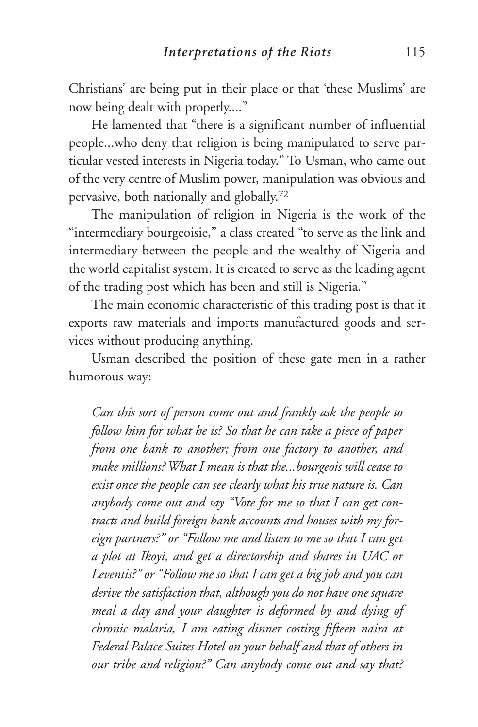Christians' are being put in their place or that 'these Muslims' are now being dealt with properly...."

He lamented that "there is a significant number of influential people...who deny that religion is being manipulated to serve particular vested interests in Nigeria today." To Usman, who came out of the very centre of Muslim power, manipulation was obvious and pervasive, both nationally and globally.72

The manipulation of religion in Nigeria is the work of the "intermediary bourgeoisie," a class created "to serve as the link and intermediary between the people and the wealthy of Nigeria and the world capitalist system. It is created to serve as the leading agent of the trading post which has been and still is Nigeria."

The main economic characteristic of this trading post is that it exports raw materials and imports manufactured goods and services without producing anything.

Usman described the position of these gate men in a rather humorous way:

*Can this sort of person come out and frankly ask the people to follow him for what he is? So that he can take a piece of paper from one bank to another; from one factory to another, and make millions? What I mean is that the...bourgeois will cease to exist once the people can see clearly what his true nature is. Can anybody come out and say "Vote for me so that I can get contracts and build foreign bank accounts and houses with my foreign partners?" or "Follow me and listen to me so that I can get a plot at Ikoyi, and get a directorship and shares in UAC or Leventis?" or "Follow me so that I can get a big job and you can derive the satisfaction that, although you do not have one square meal a day and your daughter is deformed by and dying of chronic malaria, I am eating dinner costing fifteen naira at Federal Palace Suites Hotel on your behalf and that of others in our tribe and religion?" Can anybody come out and say that?*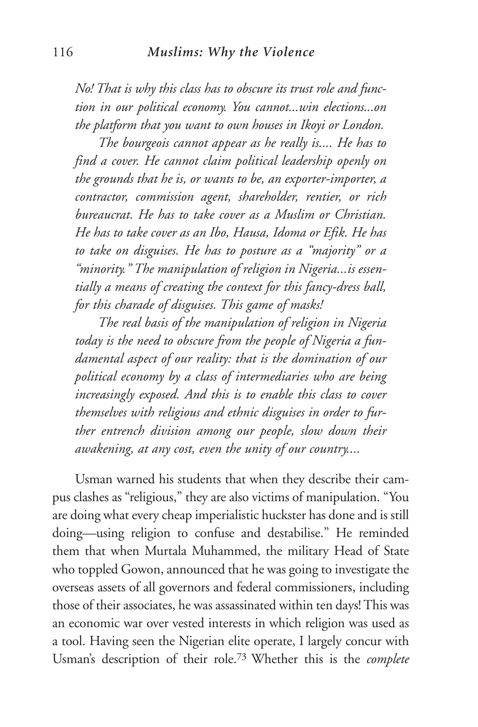*No! That is why this class has to obscure its trust role and function in our political economy. You cannot...win elections...on the platform that you want to own houses in Ikoyi or London.*

*The bourgeois cannot appear as he really is.... He has to find a cover. He cannot claim political leadership openly on the grounds that he is, or wants to be, an exporter-importer, a contractor, commission agent, shareholder, rentier, or rich bureaucrat. He has to take cover as a Muslim or Christian. He has to take cover as an Ibo, Hausa, Idoma or Efik. He has to take on disguises. He has to posture as a "majority" or a "minority." The manipulation of religion in Nigeria...is essentially a means of creating the context for this fancy-dress ball, for this charade of disguises. This game of masks!* 

*The real basis of the manipulation of religion in Nigeria today is the need to obscure from the people of Nigeria a fundamental aspect of our reality: that is the domination of our political economy by a class of intermediaries who are being increasingly exposed. And this is to enable this class to cover themselves with religious and ethnic disguises in order to further entrench division among our people, slow down their awakening, at any cost, even the unity of our country....*

Usman warned his students that when they describe their campus clashes as "religious," they are also victims of manipulation. "You are doing what every cheap imperialistic huckster has done and is still doing—using religion to confuse and destabilise." He reminded them that when Murtala Muhammed, the military Head of State who toppled Gowon, announced that he was going to investigate the overseas assets of all governors and federal commissioners, including those of their associates, he was assassinated within ten days! This was an economic war over vested interests in which religion was used as a tool. Having seen the Nigerian elite operate, I largely concur with Usman's description of their role.73 Whether this is the *complete*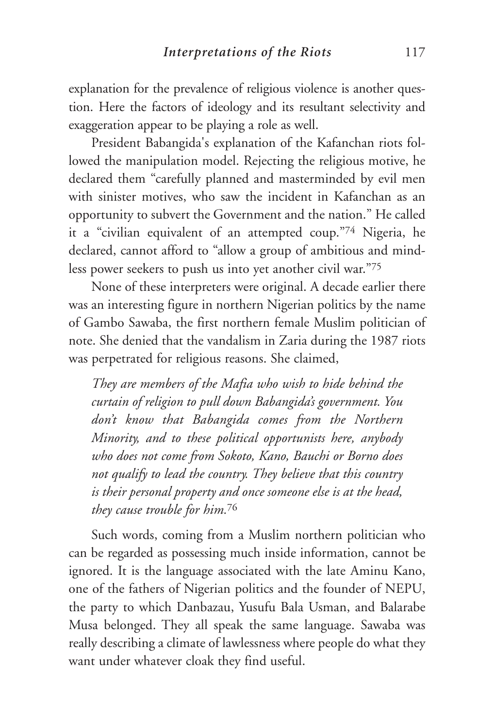explanation for the prevalence of religious violence is another question. Here the factors of ideology and its resultant selectivity and exaggeration appear to be playing a role as well.

President Babangida's explanation of the Kafanchan riots followed the manipulation model. Rejecting the religious motive, he declared them "carefully planned and masterminded by evil men with sinister motives, who saw the incident in Kafanchan as an opportunity to subvert the Government and the nation." He called it a "civilian equivalent of an attempted coup."74 Nigeria, he declared, cannot afford to "allow a group of ambitious and mindless power seekers to push us into yet another civil war."75

None of these interpreters were original. A decade earlier there was an interesting figure in northern Nigerian politics by the name of Gambo Sawaba, the first northern female Muslim politician of note. She denied that the vandalism in Zaria during the 1987 riots was perpetrated for religious reasons. She claimed,

*They are members of the Mafia who wish to hide behind the curtain of religion to pull down Babangida's government. You don't know that Babangida comes from the Northern Minority, and to these political opportunists here, anybody who does not come from Sokoto, Kano, Bauchi or Borno does not qualify to lead the country. They believe that this country is their personal property and once someone else is at the head, they cause trouble for him.*<sup>76</sup>

Such words, coming from a Muslim northern politician who can be regarded as possessing much inside information, cannot be ignored. It is the language associated with the late Aminu Kano, one of the fathers of Nigerian politics and the founder of NEPU, the party to which Danbazau, Yusufu Bala Usman, and Balarabe Musa belonged. They all speak the same language. Sawaba was really describing a climate of lawlessness where people do what they want under whatever cloak they find useful.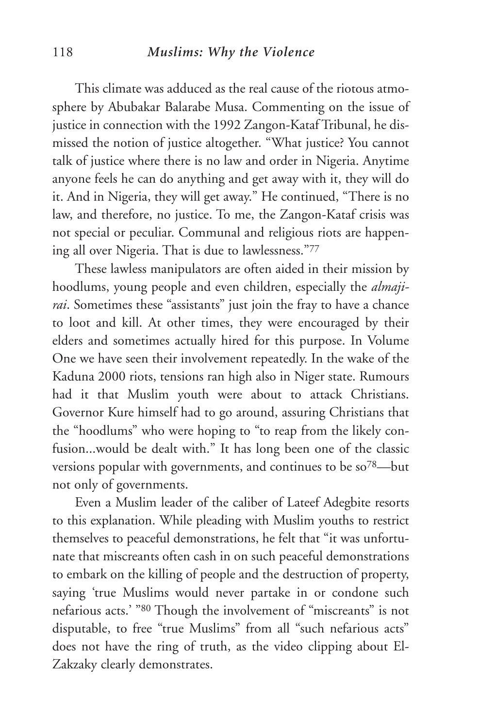#### 118 *Muslims: Why the Violence*

This climate was adduced as the real cause of the riotous atmosphere by Abubakar Balarabe Musa. Commenting on the issue of justice in connection with the 1992 Zangon-Kataf Tribunal, he dismissed the notion of justice altogether. "What justice? You cannot talk of justice where there is no law and order in Nigeria. Anytime anyone feels he can do anything and get away with it, they will do it. And in Nigeria, they will get away." He continued, "There is no law, and therefore, no justice. To me, the Zangon-Kataf crisis was not special or peculiar. Communal and religious riots are happening all over Nigeria. That is due to lawlessness."77

These lawless manipulators are often aided in their mission by hoodlums, young people and even children, especially the *almajirai*. Sometimes these "assistants" just join the fray to have a chance to loot and kill. At other times, they were encouraged by their elders and sometimes actually hired for this purpose. In Volume One we have seen their involvement repeatedly. In the wake of the Kaduna 2000 riots, tensions ran high also in Niger state. Rumours had it that Muslim youth were about to attack Christians. Governor Kure himself had to go around, assuring Christians that the "hoodlums" who were hoping to "to reap from the likely confusion...would be dealt with." It has long been one of the classic versions popular with governments, and continues to be so78—but not only of governments.

Even a Muslim leader of the caliber of Lateef Adegbite resorts to this explanation. While pleading with Muslim youths to restrict themselves to peaceful demonstrations, he felt that "it was unfortunate that miscreants often cash in on such peaceful demonstrations to embark on the killing of people and the destruction of property, saying 'true Muslims would never partake in or condone such nefarious acts.' "80 Though the involvement of "miscreants" is not disputable, to free "true Muslims" from all "such nefarious acts" does not have the ring of truth, as the video clipping about El-Zakzaky clearly demonstrates.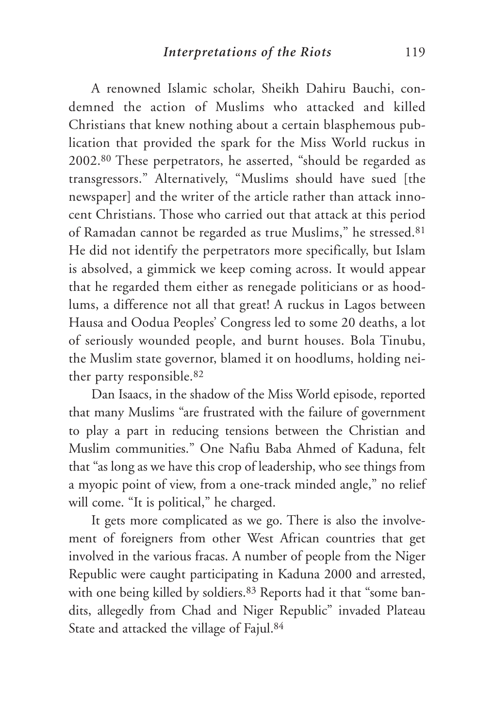A renowned Islamic scholar, Sheikh Dahiru Bauchi, condemned the action of Muslims who attacked and killed Christians that knew nothing about a certain blasphemous publication that provided the spark for the Miss World ruckus in 2002.80 These perpetrators, he asserted, "should be regarded as transgressors." Alternatively, "Muslims should have sued [the newspaper] and the writer of the article rather than attack innocent Christians. Those who carried out that attack at this period of Ramadan cannot be regarded as true Muslims," he stressed.81 He did not identify the perpetrators more specifically, but Islam is absolved, a gimmick we keep coming across. It would appear that he regarded them either as renegade politicians or as hoodlums, a difference not all that great! A ruckus in Lagos between Hausa and Oodua Peoples' Congress led to some 20 deaths, a lot of seriously wounded people, and burnt houses. Bola Tinubu, the Muslim state governor, blamed it on hoodlums, holding neither party responsible.82

Dan Isaacs, in the shadow of the Miss World episode, reported that many Muslims "are frustrated with the failure of government to play a part in reducing tensions between the Christian and Muslim communities." One Nafiu Baba Ahmed of Kaduna, felt that "as long as we have this crop of leadership, who see things from a myopic point of view, from a one-track minded angle," no relief will come. "It is political," he charged.

It gets more complicated as we go. There is also the involvement of foreigners from other West African countries that get involved in the various fracas. A number of people from the Niger Republic were caught participating in Kaduna 2000 and arrested, with one being killed by soldiers.<sup>83</sup> Reports had it that "some bandits, allegedly from Chad and Niger Republic" invaded Plateau State and attacked the village of Fajul.84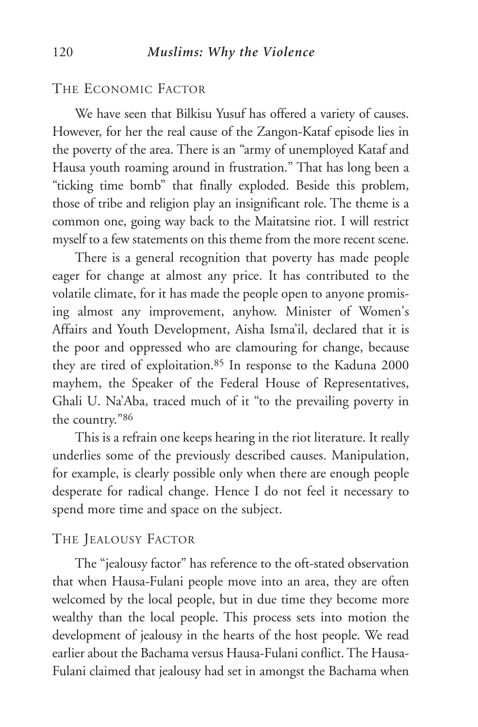THE ECONOMIC FACTOR

We have seen that Bilkisu Yusuf has offered a variety of causes. However, for her the real cause of the Zangon-Kataf episode lies in the poverty of the area. There is an "army of unemployed Kataf and Hausa youth roaming around in frustration." That has long been a "ticking time bomb" that finally exploded. Beside this problem, those of tribe and religion play an insignificant role. The theme is a common one, going way back to the Maitatsine riot. I will restrict myself to a few statements on this theme from the more recent scene.

There is a general recognition that poverty has made people eager for change at almost any price. It has contributed to the volatile climate, for it has made the people open to anyone promising almost any improvement, anyhow. Minister of Women's Affairs and Youth Development, Aisha Isma'il, declared that it is the poor and oppressed who are clamouring for change, because they are tired of exploitation.85 In response to the Kaduna 2000 mayhem, the Speaker of the Federal House of Representatives, Ghali U. Na'Aba, traced much of it "to the prevailing poverty in the country."86

This is a refrain one keeps hearing in the riot literature. It really underlies some of the previously described causes. Manipulation, for example, is clearly possible only when there are enough people desperate for radical change. Hence I do not feel it necessary to spend more time and space on the subject.

#### THE JEALOUSY FACTOR

The "jealousy factor" has reference to the oft-stated observation that when Hausa-Fulani people move into an area, they are often welcomed by the local people, but in due time they become more wealthy than the local people. This process sets into motion the development of jealousy in the hearts of the host people. We read earlier about the Bachama versus Hausa-Fulani conflict. The Hausa-Fulani claimed that jealousy had set in amongst the Bachama when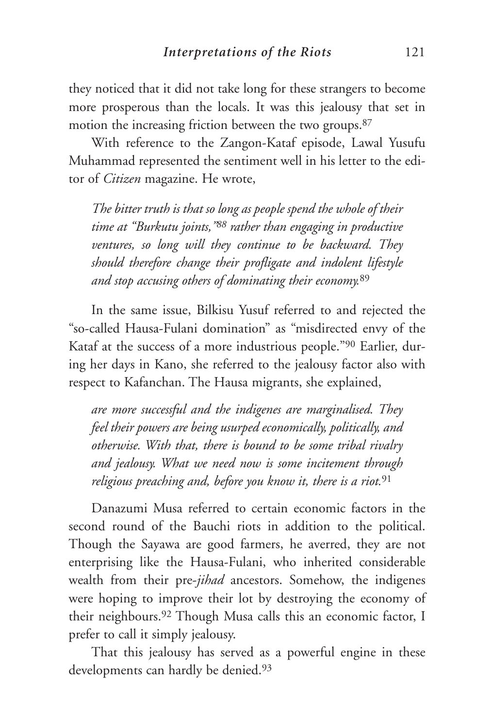they noticed that it did not take long for these strangers to become more prosperous than the locals. It was this jealousy that set in motion the increasing friction between the two groups.<sup>87</sup>

With reference to the Zangon-Kataf episode, Lawal Yusufu Muhammad represented the sentiment well in his letter to the editor of *Citizen* magazine. He wrote,

*The bitter truth is that so long as people spend the whole of their time at "Burkutu joints,"88 rather than engaging in productive ventures, so long will they continue to be backward. They should therefore change their profligate and indolent lifestyle and stop accusing others of dominating their economy.*<sup>89</sup>

In the same issue, Bilkisu Yusuf referred to and rejected the "so-called Hausa-Fulani domination" as "misdirected envy of the Kataf at the success of a more industrious people."90 Earlier, during her days in Kano, she referred to the jealousy factor also with respect to Kafanchan. The Hausa migrants, she explained,

*are more successful and the indigenes are marginalised. They feel their powers are being usurped economically, politically, and otherwise. With that, there is bound to be some tribal rivalry and jealousy. What we need now is some incitement through religious preaching and, before you know it, there is a riot.*<sup>91</sup>

Danazumi Musa referred to certain economic factors in the second round of the Bauchi riots in addition to the political. Though the Sayawa are good farmers, he averred, they are not enterprising like the Hausa-Fulani, who inherited considerable wealth from their pre-*jihad* ancestors. Somehow, the indigenes were hoping to improve their lot by destroying the economy of their neighbours.92 Though Musa calls this an economic factor, I prefer to call it simply jealousy.

That this jealousy has served as a powerful engine in these developments can hardly be denied.<sup>93</sup>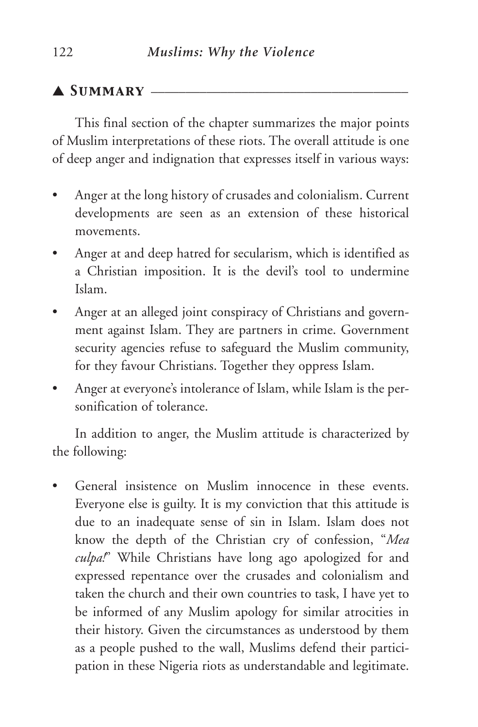## ▲ *Summary* \_\_\_\_\_\_\_\_\_\_\_\_\_\_\_\_\_\_\_\_\_\_\_\_\_\_\_\_\_\_\_\_\_\_\_\_\_

This final section of the chapter summarizes the major points of Muslim interpretations of these riots. The overall attitude is one of deep anger and indignation that expresses itself in various ways:

- Anger at the long history of crusades and colonialism. Current developments are seen as an extension of these historical movements.
- Anger at and deep hatred for secularism, which is identified as a Christian imposition. It is the devil's tool to undermine Islam.
- Anger at an alleged joint conspiracy of Christians and government against Islam. They are partners in crime. Government security agencies refuse to safeguard the Muslim community, for they favour Christians. Together they oppress Islam.
- Anger at everyone's intolerance of Islam, while Islam is the personification of tolerance.

In addition to anger, the Muslim attitude is characterized by the following:

General insistence on Muslim innocence in these events. Everyone else is guilty. It is my conviction that this attitude is due to an inadequate sense of sin in Islam. Islam does not know the depth of the Christian cry of confession, "*Mea culpa!*" While Christians have long ago apologized for and expressed repentance over the crusades and colonialism and taken the church and their own countries to task, I have yet to be informed of any Muslim apology for similar atrocities in their history. Given the circumstances as understood by them as a people pushed to the wall, Muslims defend their participation in these Nigeria riots as understandable and legitimate.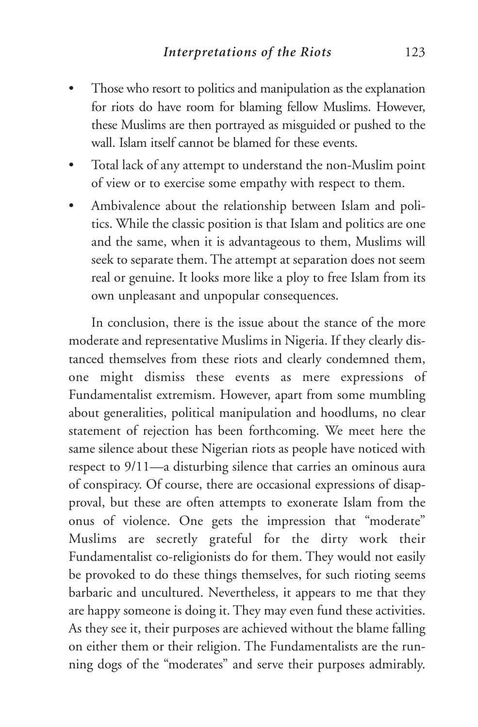- Those who resort to politics and manipulation as the explanation for riots do have room for blaming fellow Muslims. However, these Muslims are then portrayed as misguided or pushed to the wall. Islam itself cannot be blamed for these events.
- Total lack of any attempt to understand the non-Muslim point of view or to exercise some empathy with respect to them.
- Ambivalence about the relationship between Islam and politics. While the classic position is that Islam and politics are one and the same, when it is advantageous to them, Muslims will seek to separate them. The attempt at separation does not seem real or genuine. It looks more like a ploy to free Islam from its own unpleasant and unpopular consequences.

In conclusion, there is the issue about the stance of the more moderate and representative Muslims in Nigeria. If they clearly distanced themselves from these riots and clearly condemned them, one might dismiss these events as mere expressions of Fundamentalist extremism. However, apart from some mumbling about generalities, political manipulation and hoodlums, no clear statement of rejection has been forthcoming. We meet here the same silence about these Nigerian riots as people have noticed with respect to 9/11—a disturbing silence that carries an ominous aura of conspiracy. Of course, there are occasional expressions of disapproval, but these are often attempts to exonerate Islam from the onus of violence. One gets the impression that "moderate" Muslims are secretly grateful for the dirty work their Fundamentalist co-religionists do for them. They would not easily be provoked to do these things themselves, for such rioting seems barbaric and uncultured. Nevertheless, it appears to me that they are happy someone is doing it. They may even fund these activities. As they see it, their purposes are achieved without the blame falling on either them or their religion. The Fundamentalists are the running dogs of the "moderates" and serve their purposes admirably.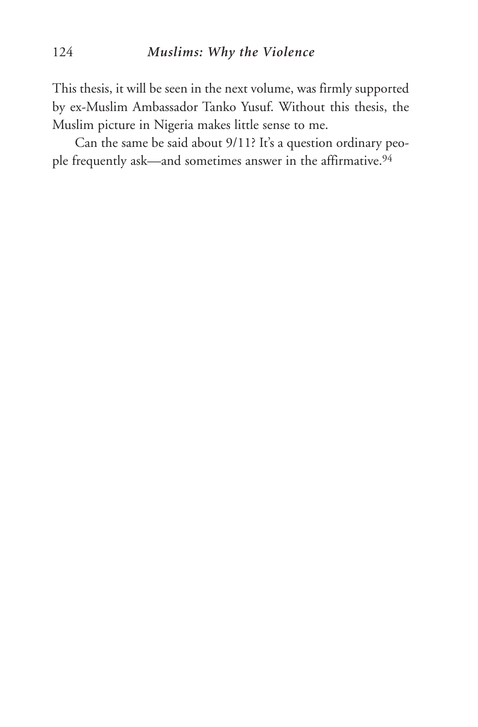This thesis, it will be seen in the next volume, was firmly supported by ex-Muslim Ambassador Tanko Yusuf. Without this thesis, the Muslim picture in Nigeria makes little sense to me.

Can the same be said about 9/11? It's a question ordinary people frequently ask—and sometimes answer in the affirmative.<sup>94</sup>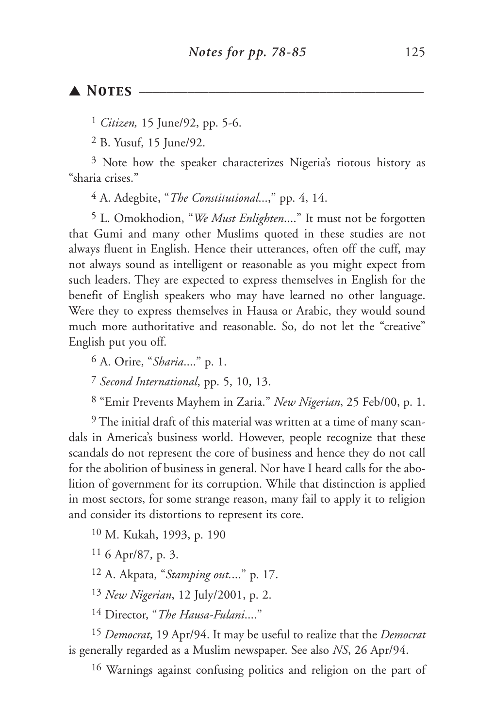#### ▲ *Notes* \_\_\_\_\_\_\_\_\_\_\_\_\_\_\_\_\_\_\_\_\_\_\_\_\_\_\_\_\_\_\_\_\_\_\_\_\_\_\_\_\_

1 *Citizen,* 15 June/92, pp. 5-6.

2 B. Yusuf, 15 June/92.

3 Note how the speaker characterizes Nigeria's riotous history as "sharia crises."

4 A. Adegbite, "*The Constitutional*...," pp. 4, 14.

5 L. Omokhodion, "*We Must Enlighten*...." It must not be forgotten that Gumi and many other Muslims quoted in these studies are not always fluent in English. Hence their utterances, often off the cuff, may not always sound as intelligent or reasonable as you might expect from such leaders. They are expected to express themselves in English for the benefit of English speakers who may have learned no other language. Were they to express themselves in Hausa or Arabic, they would sound much more authoritative and reasonable. So, do not let the "creative" English put you off.

6 A. Orire, "*Sharia*...." p. 1.

7 *Second International*, pp. 5, 10, 13.

8 "Emir Prevents Mayhem in Zaria." *New Nigerian*, 25 Feb/00, p. 1.

9 The initial draft of this material was written at a time of many scandals in America's business world. However, people recognize that these scandals do not represent the core of business and hence they do not call for the abolition of business in general. Nor have I heard calls for the abolition of government for its corruption. While that distinction is applied in most sectors, for some strange reason, many fail to apply it to religion and consider its distortions to represent its core.

10 M. Kukah, 1993, p. 190

 $116$  Apr/87, p. 3.

12 A. Akpata, "*Stamping out.*..." p. 17.

13 *New Nigerian*, 12 July/2001, p. 2.

14 Director, "*The Hausa-Fulani*...."

15 *Democrat*, 19 Apr/94. It may be useful to realize that the *Democrat* is generally regarded as a Muslim newspaper. See also *NS*, 26 Apr/94.

16 Warnings against confusing politics and religion on the part of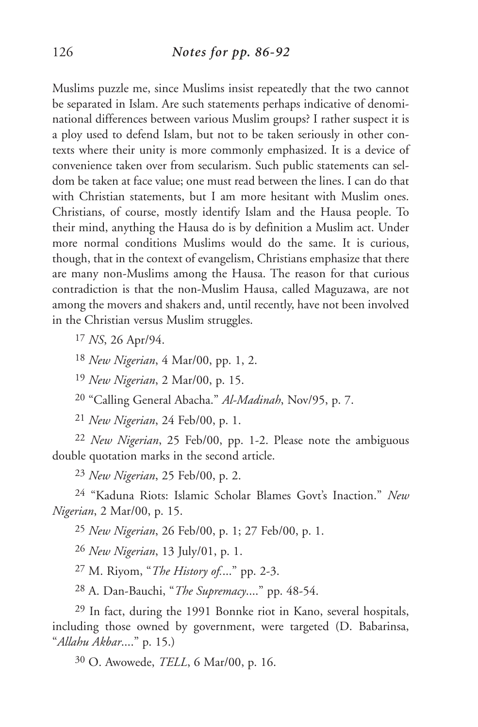Muslims puzzle me, since Muslims insist repeatedly that the two cannot be separated in Islam. Are such statements perhaps indicative of denominational differences between various Muslim groups? I rather suspect it is a ploy used to defend Islam, but not to be taken seriously in other contexts where their unity is more commonly emphasized. It is a device of convenience taken over from secularism. Such public statements can seldom be taken at face value; one must read between the lines. I can do that with Christian statements, but I am more hesitant with Muslim ones. Christians, of course, mostly identify Islam and the Hausa people. To their mind, anything the Hausa do is by definition a Muslim act. Under more normal conditions Muslims would do the same. It is curious, though, that in the context of evangelism, Christians emphasize that there are many non-Muslims among the Hausa. The reason for that curious contradiction is that the non-Muslim Hausa, called Maguzawa, are not among the movers and shakers and, until recently, have not been involved in the Christian versus Muslim struggles.

17 *NS*, 26 Apr/94.

18 *New Nigerian*, 4 Mar/00, pp. 1, 2.

19 *New Nigerian*, 2 Mar/00, p. 15.

20 "Calling General Abacha." *Al-Madinah*, Nov/95, p. 7.

21 *New Nigerian*, 24 Feb/00, p. 1.

22 *New Nigerian*, 25 Feb/00, pp. 1-2. Please note the ambiguous double quotation marks in the second article.

23 *New Nigerian*, 25 Feb/00, p. 2.

24 "Kaduna Riots: Islamic Scholar Blames Govt's Inaction." *New Nigerian*, 2 Mar/00, p. 15.

25 *New Nigerian*, 26 Feb/00, p. 1; 27 Feb/00, p. 1.

26 *New Nigerian*, 13 July/01, p. 1.

27 M. Riyom, "*The History of.*..." pp. 2-3.

28 A. Dan-Bauchi, "*The Supremacy*...." pp. 48-54.

29 In fact, during the 1991 Bonnke riot in Kano, several hospitals, including those owned by government, were targeted (D. Babarinsa, "*Allahu Akbar*...." p. 15.)

30 O. Awowede, *TELL*, 6 Mar/00, p. 16.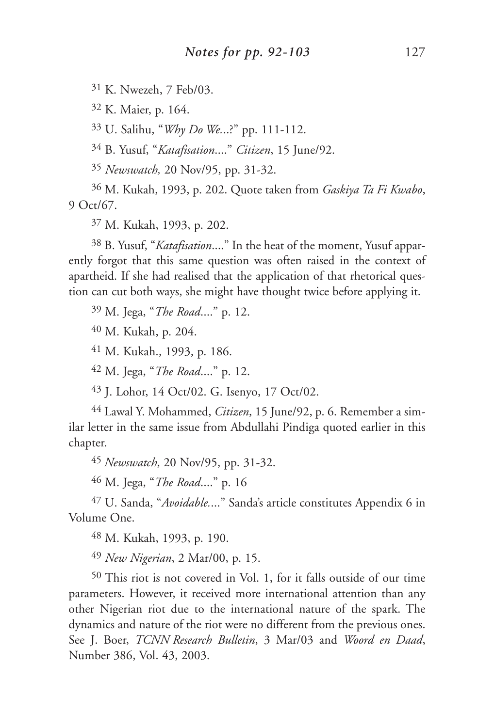K. Nwezeh, 7 Feb/03.

K. Maier, p. 164.

U. Salihu, "*Why Do We.*..?" pp. 111-112.

B. Yusuf, "*Katafisation*...." *Citizen*, 15 June/92.

*Newswatch,* 20 Nov/95, pp. 31-32.

 M. Kukah, 1993, p. 202. Quote taken from *Gaskiya Ta Fi Kwabo*, 9 Oct/67.

M. Kukah, 1993, p. 202.

 B. Yusuf, "*Katafisation*...." In the heat of the moment, Yusuf apparently forgot that this same question was often raised in the context of apartheid. If she had realised that the application of that rhetorical question can cut both ways, she might have thought twice before applying it.

M. Jega, "*The Road*...." p. 12.

M. Kukah, p. 204.

M. Kukah., 1993, p. 186.

M. Jega, "*The Road*...." p. 12.

J. Lohor, 14 Oct/02. G. Isenyo, 17 Oct/02.

 Lawal Y. Mohammed, *Citizen*, 15 June/92, p. 6. Remember a similar letter in the same issue from Abdullahi Pindiga quoted earlier in this chapter.

*Newswatch*, 20 Nov/95, pp. 31-32.

M. Jega, "*The Road*...." p. 16

 U. Sanda, "*Avoidable.*..." Sanda's article constitutes Appendix 6 in Volume One.

M. Kukah, 1993, p. 190.

*New Nigerian*, 2 Mar/00, p. 15.

 This riot is not covered in Vol. 1, for it falls outside of our time parameters. However, it received more international attention than any other Nigerian riot due to the international nature of the spark. The dynamics and nature of the riot were no different from the previous ones. See J. Boer, *TCNN Research Bulletin*, 3 Mar/03 and *Woord en Daad*, Number 386, Vol. 43, 2003.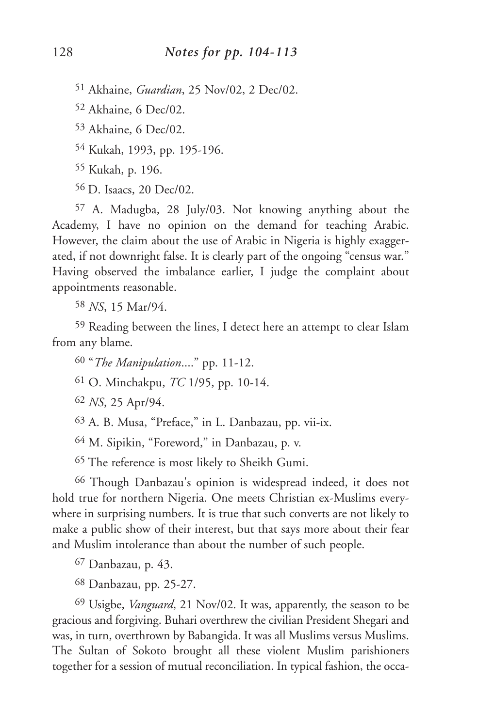51 Akhaine, *Guardian*, 25 Nov/02, 2 Dec/02.

52 Akhaine, 6 Dec/02.

53 Akhaine, 6 Dec/02.

54 Kukah, 1993, pp. 195-196.

55 Kukah, p. 196.

56 D. Isaacs, 20 Dec/02.

57 A. Madugba, 28 July/03. Not knowing anything about the Academy, I have no opinion on the demand for teaching Arabic. However, the claim about the use of Arabic in Nigeria is highly exaggerated, if not downright false. It is clearly part of the ongoing "census war." Having observed the imbalance earlier, I judge the complaint about appointments reasonable.

58 *NS*, 15 Mar/94.

59 Reading between the lines, I detect here an attempt to clear Islam from any blame.

60 "*The Manipulation*...." pp. 11-12.

61 O. Minchakpu, *TC* 1/95, pp. 10-14.

62 *NS*, 25 Apr/94.

63 A. B. Musa, "Preface," in L. Danbazau, pp. vii-ix.

64 M. Sipikin, "Foreword," in Danbazau, p. v.

65 The reference is most likely to Sheikh Gumi.

66 Though Danbazau's opinion is widespread indeed, it does not hold true for northern Nigeria. One meets Christian ex-Muslims everywhere in surprising numbers. It is true that such converts are not likely to make a public show of their interest, but that says more about their fear and Muslim intolerance than about the number of such people.

67 Danbazau, p. 43.

68 Danbazau, pp. 25-27.

69 Usigbe, *Vanguard*, 21 Nov/02. It was, apparently, the season to be gracious and forgiving. Buhari overthrew the civilian President Shegari and was, in turn, overthrown by Babangida. It was all Muslims versus Muslims. The Sultan of Sokoto brought all these violent Muslim parishioners together for a session of mutual reconciliation. In typical fashion, the occa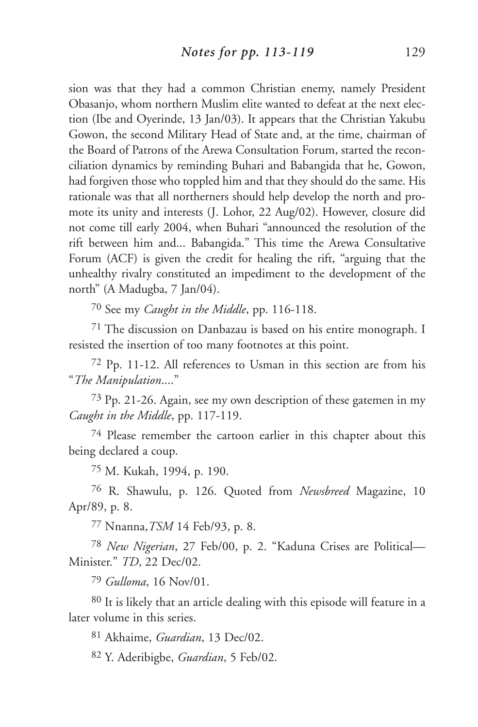sion was that they had a common Christian enemy, namely President Obasanjo, whom northern Muslim elite wanted to defeat at the next election (Ibe and Oyerinde, 13 Jan/03). It appears that the Christian Yakubu Gowon, the second Military Head of State and, at the time, chairman of the Board of Patrons of the Arewa Consultation Forum, started the reconciliation dynamics by reminding Buhari and Babangida that he, Gowon, had forgiven those who toppled him and that they should do the same. His rationale was that all northerners should help develop the north and promote its unity and interests (J. Lohor, 22 Aug/02). However, closure did not come till early 2004, when Buhari "announced the resolution of the rift between him and... Babangida." This time the Arewa Consultative Forum (ACF) is given the credit for healing the rift, "arguing that the unhealthy rivalry constituted an impediment to the development of the north" (A Madugba, 7 Jan/04).

70 See my *Caught in the Middle*, pp. 116-118.

71 The discussion on Danbazau is based on his entire monograph. I resisted the insertion of too many footnotes at this point.

72 Pp. 11-12. All references to Usman in this section are from his "*The Manipulation*...."

73 Pp. 21-26. Again, see my own description of these gatemen in my *Caught in the Middle*, pp. 117-119.

74 Please remember the cartoon earlier in this chapter about this being declared a coup.

75 M. Kukah, 1994, p. 190.

76 R. Shawulu, p. 126. Quoted from *Newsbreed* Magazine, 10 Apr/89, p. 8.

77 Nnanna,*TSM* 14 Feb/93, p. 8.

78 *New Nigerian*, 27 Feb/00, p. 2. "Kaduna Crises are Political— Minister." *TD*, 22 Dec/02.

79 *Gulloma*, 16 Nov/01.

80 It is likely that an article dealing with this episode will feature in a later volume in this series.

81 Akhaime, *Guardian*, 13 Dec/02.

82 Y. Aderibigbe, *Guardian*, 5 Feb/02.